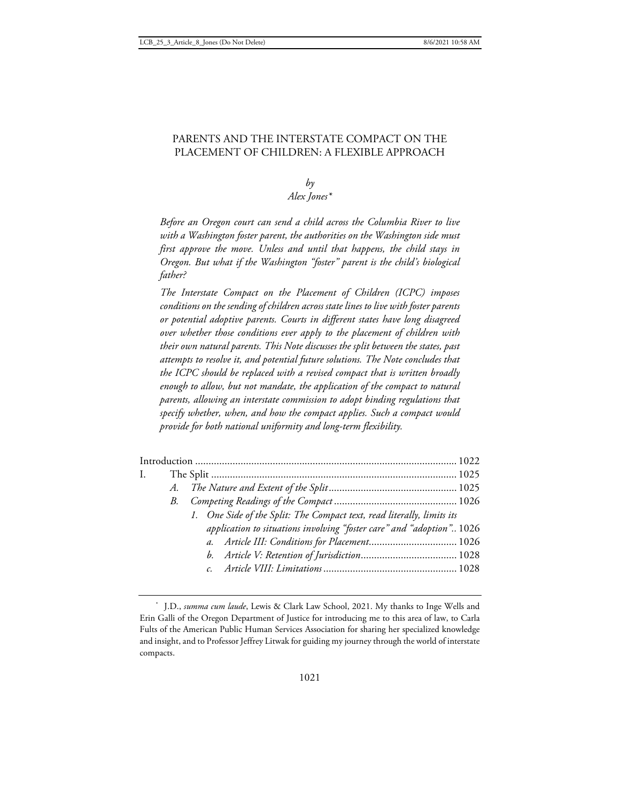## PARENTS AND THE INTERSTATE COMPACT ON THE PLACEMENT OF CHILDREN: A FLEXIBLE APPROACH

# $b\nu$ *Alex Jones\**

*Before an Oregon court can send a child across the Columbia River to live with a Washington foster parent, the authorities on the Washington side must first approve the move. Unless and until that happens, the child stays in Oregon. But what if the Washington "foster" parent is the child's biological father?* 

*The Interstate Compact on the Placement of Children (ICPC) imposes conditions on the sending of children across state lines to live with foster parents or potential adoptive parents. Courts in different states have long disagreed over whether those conditions ever apply to the placement of children with their own natural parents. This Note discusses the split between the states, past attempts to resolve it, and potential future solutions. The Note concludes that the ICPC should be replaced with a revised compact that is written broadly enough to allow, but not mandate, the application of the compact to natural parents, allowing an interstate commission to adopt binding regulations that specify whether, when, and how the compact applies. Such a compact would provide for both national uniformity and long-term flexibility.* 

| $\mathbf{I}$ . |                                                                        |  |
|----------------|------------------------------------------------------------------------|--|
|                |                                                                        |  |
|                |                                                                        |  |
|                | 1. One Side of the Split: The Compact text, read literally, limits its |  |
|                | application to situations involving "foster care" and "adoption" 1026  |  |
|                | a. Article III: Conditions for Placement 1026                          |  |
|                |                                                                        |  |
|                |                                                                        |  |
|                |                                                                        |  |

<sup>\*</sup> J.D., *summa cum laude*, Lewis & Clark Law School, 2021. My thanks to Inge Wells and Erin Galli of the Oregon Department of Justice for introducing me to this area of law, to Carla Fults of the American Public Human Services Association for sharing her specialized knowledge and insight, and to Professor Jeffrey Litwak for guiding my journey through the world of interstate compacts.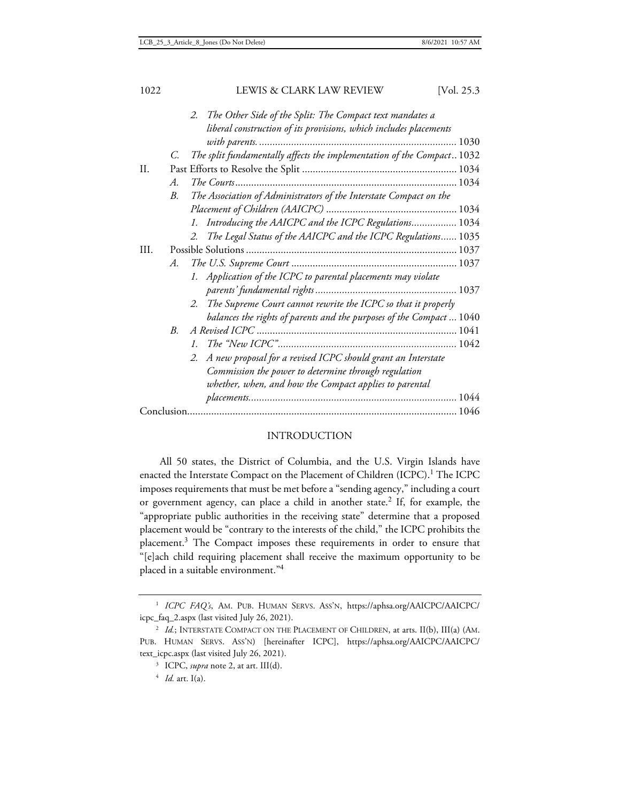|      |             | The Other Side of the Split: The Compact text mandates a<br>2.         |  |  |  |
|------|-------------|------------------------------------------------------------------------|--|--|--|
|      |             | liberal construction of its provisions, which includes placements      |  |  |  |
|      |             |                                                                        |  |  |  |
|      | C.          | The split fundamentally affects the implementation of the Compact 1032 |  |  |  |
| II.  |             |                                                                        |  |  |  |
|      | А.          |                                                                        |  |  |  |
|      | $B_{\cdot}$ | The Association of Administrators of the Interstate Compact on the     |  |  |  |
|      |             |                                                                        |  |  |  |
|      |             | 1. Introducing the AAICPC and the ICPC Regulations 1034                |  |  |  |
|      |             | 2. The Legal Status of the AAICPC and the ICPC Regulations 1035        |  |  |  |
| III. |             |                                                                        |  |  |  |
|      | А.          |                                                                        |  |  |  |
|      |             | 1. Application of the ICPC to parental placements may violate          |  |  |  |
|      |             |                                                                        |  |  |  |
|      |             | 2. The Supreme Court cannot rewrite the ICPC so that it properly       |  |  |  |
|      |             | balances the rights of parents and the purposes of the Compact  1040   |  |  |  |
|      | B.          |                                                                        |  |  |  |
|      |             | $I_{\cdot}$                                                            |  |  |  |
|      |             | 2. A new proposal for a revised ICPC should grant an Interstate        |  |  |  |
|      |             | Commission the power to determine through regulation                   |  |  |  |
|      |             | whether, when, and how the Compact applies to parental                 |  |  |  |
|      |             |                                                                        |  |  |  |
|      |             |                                                                        |  |  |  |
|      |             |                                                                        |  |  |  |

# INTRODUCTION

All 50 states, the District of Columbia, and the U.S. Virgin Islands have enacted the Interstate Compact on the Placement of Children (ICPC). $^{\rm l}$  The ICPC imposes requirements that must be met before a "sending agency," including a court or government agency, can place a child in another state.<sup>2</sup> If, for example, the "appropriate public authorities in the receiving state" determine that a proposed placement would be "contrary to the interests of the child," the ICPC prohibits the placement.<sup>3</sup> The Compact imposes these requirements in order to ensure that "[e]ach child requiring placement shall receive the maximum opportunity to be placed in a suitable environment."<sup>4</sup>

<sup>4</sup> *Id.* art. I(a).

<sup>1</sup> *ICPC FAQ's*, AM. PUB. HUMAN SERVS. ASS'N, https://aphsa.org/AAICPC/AAICPC/ icpc\_faq\_2.aspx (last visited July 26, 2021).

<sup>&</sup>lt;sup>2</sup> *Id.*; INTERSTATE COMPACT ON THE PLACEMENT OF CHILDREN, at arts. II(b), III(a) (AM. PUB. HUMAN SERVS. ASS'N) [hereinafter ICPC], https://aphsa.org/AAICPC/AAICPC/ text\_icpc.aspx (last visited July 26, 2021).

<sup>3</sup> ICPC, *supra* note 2, at art. III(d).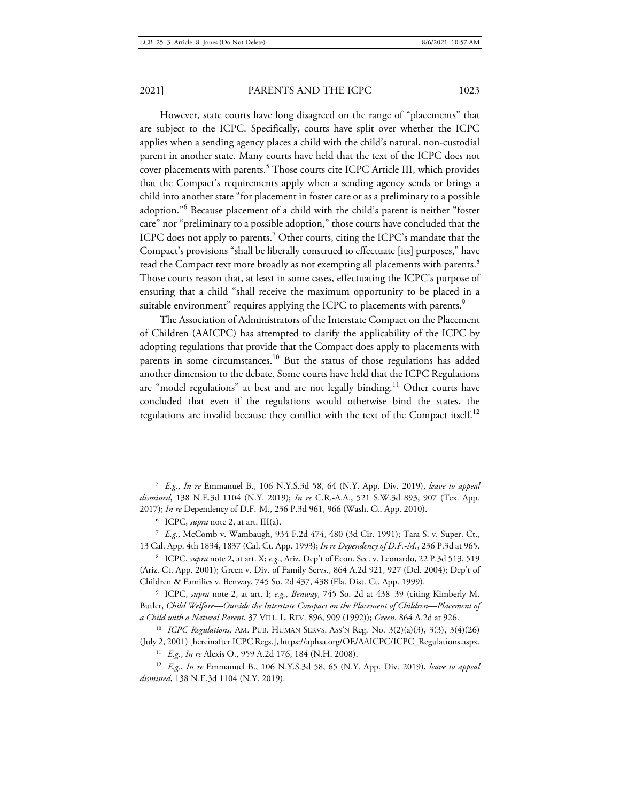However, state courts have long disagreed on the range of "placements" that are subject to the ICPC. Specifically, courts have split over whether the ICPC applies when a sending agency places a child with the child's natural, non-custodial parent in another state. Many courts have held that the text of the ICPC does not cover placements with parents.<sup>5</sup> Those courts cite ICPC Article III, which provides that the Compact's requirements apply when a sending agency sends or brings a child into another state "for placement in foster care or as a preliminary to a possible adoption."<sup>6</sup> Because placement of a child with the child's parent is neither "foster care" nor "preliminary to a possible adoption," those courts have concluded that the ICPC does not apply to parents.<sup>7</sup> Other courts, citing the ICPC's mandate that the Compact's provisions "shall be liberally construed to effectuate [its] purposes," have read the Compact text more broadly as not exempting all placements with parents.<sup>8</sup> Those courts reason that, at least in some cases, effectuating the ICPC's purpose of ensuring that a child "shall receive the maximum opportunity to be placed in a suitable environment" requires applying the ICPC to placements with parents.<sup>9</sup>

The Association of Administrators of the Interstate Compact on the Placement of Children (AAICPC) has attempted to clarify the applicability of the ICPC by adopting regulations that provide that the Compact does apply to placements with parents in some circumstances.<sup>10</sup> But the status of those regulations has added another dimension to the debate. Some courts have held that the ICPC Regulations are "model regulations" at best and are not legally binding.<sup>11</sup> Other courts have concluded that even if the regulations would otherwise bind the states, the regulations are invalid because they conflict with the text of the Compact itself.<sup>12</sup>

<sup>5</sup> *E.g.*, *In re* Emmanuel B., 106 N.Y.S.3d 58, 64 (N.Y. App. Div. 2019), *leave to appeal dismissed*, 138 N.E.3d 1104 (N.Y. 2019); *In re* C.R.-A.A., 521 S.W.3d 893, 907 (Tex. App. 2017); *In re* Dependency of D.F.-M., 236 P.3d 961, 966 (Wash. Ct. App. 2010).

<sup>6</sup> ICPC, *supra* note 2, at art. III(a).

<sup>7</sup> *E.g.*, McComb v. Wambaugh, 934 F.2d 474, 480 (3d Cir. 1991); Tara S. v. Super. Ct., 13 Cal. App. 4th 1834, 1837 (Cal. Ct. App. 1993); *In re Dependency of D.F.-M.*, 236 P.3d at 965.

<sup>8</sup> ICPC, *supra* note 2, at art. X; *e.g.*, Ariz. Dep't of Econ. Sec. v. Leonardo, 22 P.3d 513, 519 (Ariz. Ct. App. 2001); Green v. Div. of Family Servs., 864 A.2d 921, 927 (Del. 2004); Dep't of Children & Families v. Benway, 745 So. 2d 437, 438 (Fla. Dist. Ct. App. 1999).

<sup>9</sup> ICPC, *supra* note 2, at art. I; *e.g.*, *Benway*, 745 So. 2d at 438–39 (citing Kimberly M. Butler, *Child Welfare—Outside the Interstate Compact on the Placement of Children—Placement of a Child with a Natural Parent*, 37 VILL. L. REV. 896, 909 (1992)); *Green*, 864 A.2d at 926.

<sup>10</sup> *ICPC Regulations*, AM. PUB. HUMAN SERVS. ASS'N Reg. No. 3(2)(a)(3), 3(3), 3(4)(26) (July 2, 2001) [hereinafter ICPC Regs.], https://aphsa.org/OE/AAICPC/ICPC\_Regulations.aspx.

<sup>11</sup> *E.g.*, *In re* Alexis O., 959 A.2d 176, 184 (N.H. 2008).

<sup>12</sup> *E.g.*, *In re* Emmanuel B., 106 N.Y.S.3d 58, 65 (N.Y. App. Div. 2019), *leave to appeal dismissed*, 138 N.E.3d 1104 (N.Y. 2019).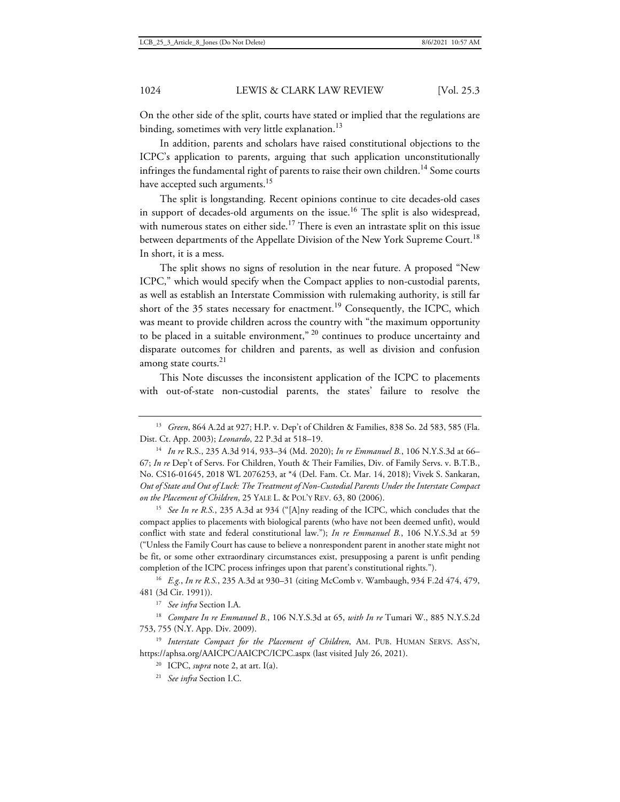On the other side of the split, courts have stated or implied that the regulations are binding, sometimes with very little explanation.<sup>13</sup>

In addition, parents and scholars have raised constitutional objections to the ICPC's application to parents, arguing that such application unconstitutionally infringes the fundamental right of parents to raise their own children.<sup>14</sup> Some courts have accepted such arguments.<sup>15</sup>

The split is longstanding. Recent opinions continue to cite decades-old cases in support of decades-old arguments on the issue.<sup>16</sup> The split is also widespread, with numerous states on either side.<sup>17</sup> There is even an intrastate split on this issue between departments of the Appellate Division of the New York Supreme Court.<sup>18</sup> In short, it is a mess.

The split shows no signs of resolution in the near future. A proposed "New ICPC," which would specify when the Compact applies to non-custodial parents, as well as establish an Interstate Commission with rulemaking authority, is still far short of the 35 states necessary for enactment.<sup>19</sup> Consequently, the ICPC, which was meant to provide children across the country with "the maximum opportunity to be placed in a suitable environment," <sup>20</sup> continues to produce uncertainty and disparate outcomes for children and parents, as well as division and confusion among state courts.<sup>21</sup>

This Note discusses the inconsistent application of the ICPC to placements with out-of-state non-custodial parents, the states' failure to resolve the

<sup>15</sup> *See In re R.S.*, 235 A.3d at 934 ("[A]ny reading of the ICPC, which concludes that the compact applies to placements with biological parents (who have not been deemed unfit), would conflict with state and federal constitutional law."); *In re Emmanuel B.*, 106 N.Y.S.3d at 59 ("Unless the Family Court has cause to believe a nonrespondent parent in another state might not be fit, or some other extraordinary circumstances exist, presupposing a parent is unfit pending completion of the ICPC process infringes upon that parent's constitutional rights.").

<sup>16</sup> *E.g.*, *In re R.S.*, 235 A.3d at 930–31 (citing McComb v. Wambaugh, 934 F.2d 474, 479, 481 (3d Cir. 1991)).

<sup>17</sup> *See infra* Section I.A.

<sup>18</sup> *Compare In re Emmanuel B.*, 106 N.Y.S.3d at 65, *with In re* Tumari W., 885 N.Y.S.2d 753, 755 (N.Y. App. Div. 2009).

<sup>19</sup> Interstate Compact for the Placement of Children, AM. PUB. HUMAN SERVS. ASS'N, https://aphsa.org/AAICPC/AAICPC/ICPC.aspx (last visited July 26, 2021).

<sup>20</sup> ICPC, *supra* note 2, at art. I(a).

<sup>21</sup> *See infra* Section I.C.

<sup>13</sup> *Green*, 864 A.2d at 927; H.P. v. Dep't of Children & Families, 838 So. 2d 583, 585 (Fla. Dist. Ct. App. 2003); *Leonardo*, 22 P.3d at 518–19.

<sup>14</sup> *In re* R.S., 235 A.3d 914, 933–34 (Md. 2020); *In re Emmanuel B.*, 106 N.Y.S.3d at 66– 67; *In re* Dep't of Servs. For Children, Youth & Their Families, Div. of Family Servs. v. B.T.B., No. CS16-01645, 2018 WL 2076253, at \*4 (Del. Fam. Ct. Mar. 14, 2018); Vivek S. Sankaran, *Out of State and Out of Luck: The Treatment of Non-Custodial Parents Under the Interstate Compact on the Placement of Children*, 25 YALE L. & POL'Y REV. 63, 80 (2006).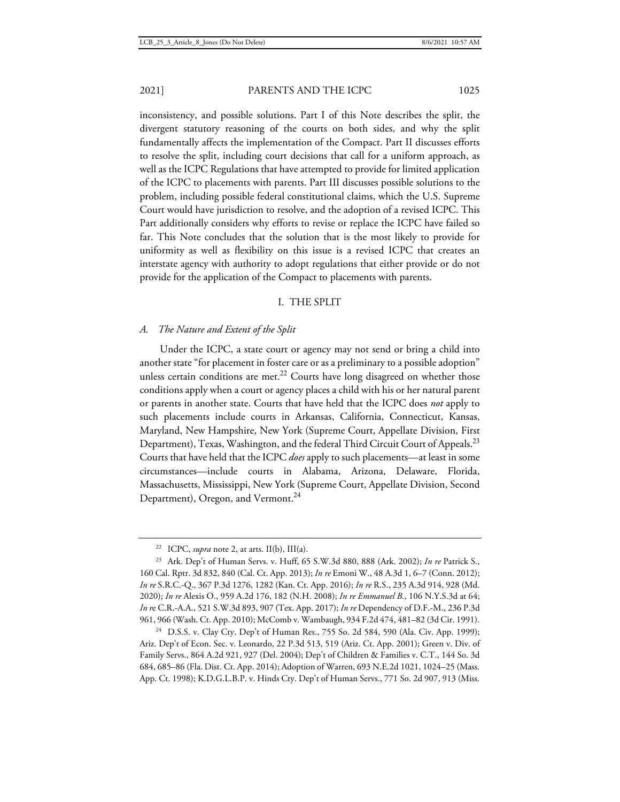to resolve the split, including court decisions that call for a uniform approach, as well as the ICPC Regulations that have attempted to provide for limited application of the ICPC to placements with parents. Part III discusses possible solutions to the problem, including possible federal constitutional claims, which the U.S. Supreme Court would have jurisdiction to resolve, and the adoption of a revised ICPC. This Part additionally considers why efforts to revise or replace the ICPC have failed so far. This Note concludes that the solution that is the most likely to provide for uniformity as well as flexibility on this issue is a revised ICPC that creates an interstate agency with authority to adopt regulations that either provide or do not provide for the application of the Compact to placements with parents.

### I. THE SPLIT

#### *A. The Nature and Extent of the Split*

Under the ICPC, a state court or agency may not send or bring a child into another state "for placement in foster care or as a preliminary to a possible adoption" unless certain conditions are met.<sup>22</sup> Courts have long disagreed on whether those conditions apply when a court or agency places a child with his or her natural parent or parents in another state. Courts that have held that the ICPC does *not* apply to such placements include courts in Arkansas, California, Connecticut, Kansas, Maryland, New Hampshire, New York (Supreme Court, Appellate Division, First Department), Texas, Washington, and the federal Third Circuit Court of Appeals.<sup>23</sup> Courts that have held that the ICPC *does* apply to such placements—at least in some circumstances—include courts in Alabama, Arizona, Delaware, Florida, Massachusetts, Mississippi, New York (Supreme Court, Appellate Division, Second Department), Oregon, and Vermont.<sup>24</sup>

<sup>24</sup> D.S.S. v. Clay Cty. Dep't of Human Res., 755 So. 2d 584, 590 (Ala. Civ. App. 1999); Ariz. Dep't of Econ. Sec. v. Leonardo, 22 P.3d 513, 519 (Ariz. Ct. App. 2001); Green v. Div. of Family Servs., 864 A.2d 921, 927 (Del. 2004); Dep't of Children & Families v. C.T., 144 So. 3d 684, 685–86 (Fla. Dist. Ct. App. 2014); Adoption of Warren, 693 N.E.2d 1021, 1024–25 (Mass. App. Ct. 1998); K.D.G.L.B.P. v. Hinds Cty. Dep't of Human Servs., 771 So. 2d 907, 913 (Miss.

<sup>&</sup>lt;sup>22</sup> ICPC, *supra* note 2, at arts. II(b), III(a).

<sup>23</sup> Ark. Dep't of Human Servs. v. Huff, 65 S.W.3d 880, 888 (Ark. 2002); *In re* Patrick S., 160 Cal. Rptr. 3d 832, 840 (Cal. Ct. App. 2013); *In re* Emoni W., 48 A.3d 1, 6–7 (Conn. 2012); *In re* S.R.C.-Q., 367 P.3d 1276, 1282 (Kan. Ct. App. 2016); *In re* R.S., 235 A.3d 914, 928 (Md. 2020); *In re* Alexis O., 959 A.2d 176, 182 (N.H. 2008); *In re Emmanuel B.*, 106 N.Y.S.3d at 64; *In r*e C.R.-A.A., 521 S.W.3d 893, 907 (Tex. App. 2017); *In re* Dependency of D.F.-M., 236 P.3d 961, 966 (Wash. Ct. App. 2010); McComb v. Wambaugh, 934 F.2d 474, 481–82 (3d Cir. 1991).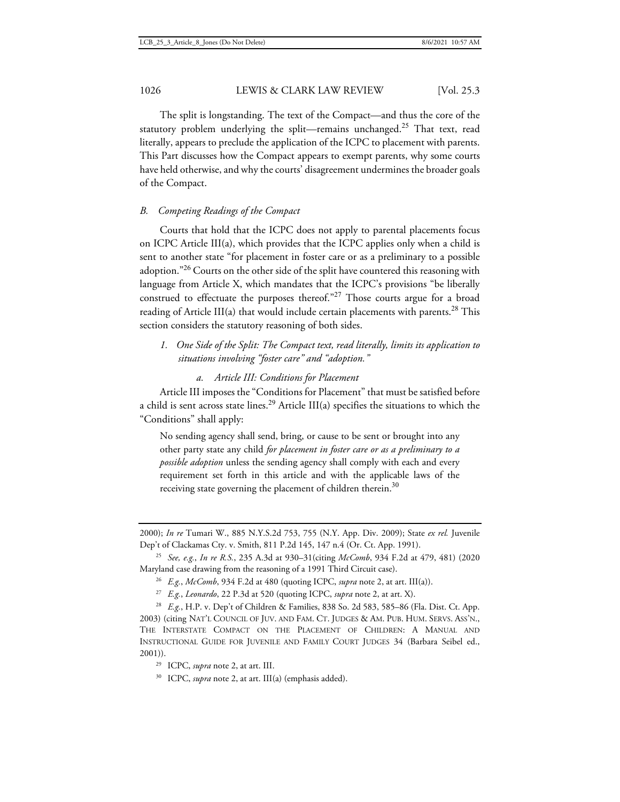The split is longstanding. The text of the Compact—and thus the core of the statutory problem underlying the split—remains unchanged.<sup>25</sup> That text, read literally, appears to preclude the application of the ICPC to placement with parents. This Part discusses how the Compact appears to exempt parents, why some courts have held otherwise, and why the courts' disagreement undermines the broader goals of the Compact.

# *B. Competing Readings of the Compact*

Courts that hold that the ICPC does not apply to parental placements focus on ICPC Article III(a), which provides that the ICPC applies only when a child is sent to another state "for placement in foster care or as a preliminary to a possible adoption."<sup>26</sup> Courts on the other side of the split have countered this reasoning with language from Article X, which mandates that the ICPC's provisions "be liberally construed to effectuate the purposes thereof."<sup>27</sup> Those courts argue for a broad reading of Article III(a) that would include certain placements with parents.<sup>28</sup> This section considers the statutory reasoning of both sides.

- *1. One Side of the Split: The Compact text, read literally, limits its application to situations involving "foster care" and "adoption."* 
	- *a. Article III: Conditions for Placement*

Article III imposes the "Conditions for Placement" that must be satisfied before a child is sent across state lines.<sup>29</sup> Article III(a) specifies the situations to which the "Conditions" shall apply:

No sending agency shall send, bring, or cause to be sent or brought into any other party state any child *for placement in foster care or as a preliminary to a possible adoption* unless the sending agency shall comply with each and every requirement set forth in this article and with the applicable laws of the receiving state governing the placement of children therein. $30$ 

<sup>25</sup> *See, e.g.*, *In re R.S.*, 235 A.3d at 930–31(citing *McComb*, 934 F.2d at 479, 481) (2020 Maryland case drawing from the reasoning of a 1991 Third Circuit case).

<sup>26</sup> *E.g.*, *McComb*, 934 F.2d at 480 (quoting ICPC, *supra* note 2, at art. III(a)).

<sup>27</sup> *E.g.*, *Leonardo*, 22 P.3d at 520 (quoting ICPC, *supra* note 2, at art. X).

<sup>28</sup> *E.g.*, H.P. v. Dep't of Children & Families, 838 So. 2d 583, 585–86 (Fla. Dist. Ct. App. 2003) (citing NAT'L COUNCIL OF JUV. AND FAM. CT. JUDGES & AM. PUB. HUM. SERVS. ASS'N., THE INTERSTATE COMPACT ON THE PLACEMENT OF CHILDREN: A MANUAL AND INSTRUCTIONAL GUIDE FOR JUVENILE AND FAMILY COURT JUDGES 34 (Barbara Seibel ed., 2001)).

<sup>30</sup> ICPC, *supra* note 2, at art. III(a) (emphasis added).

<sup>2000);</sup> *In re* Tumari W., 885 N.Y.S.2d 753, 755 (N.Y. App. Div. 2009); State *ex rel.* Juvenile Dep't of Clackamas Cty. v. Smith, 811 P.2d 145, 147 n.4 (Or. Ct. App. 1991).

<sup>29</sup> ICPC, *supra* note 2, at art. III.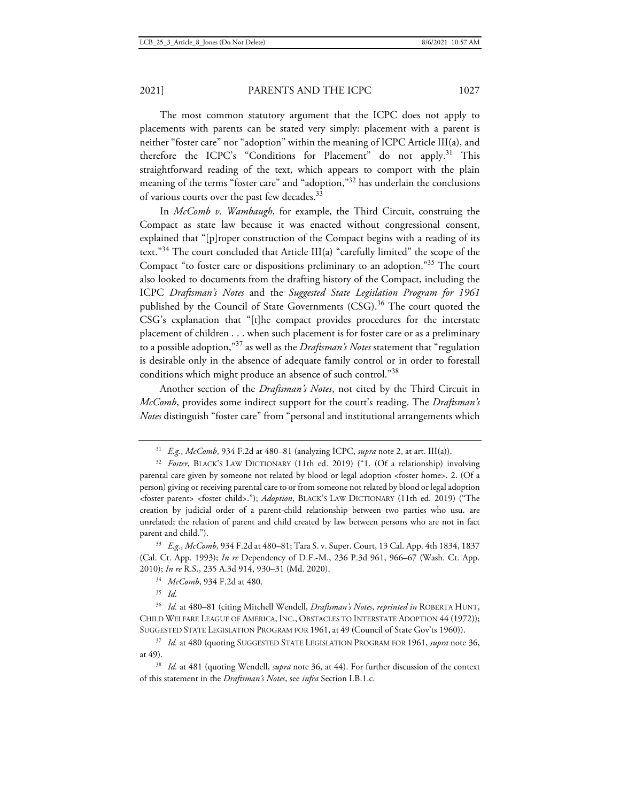The most common statutory argument that the ICPC does not apply to placements with parents can be stated very simply: placement with a parent is neither "foster care" nor "adoption" within the meaning of ICPC Article III(a), and therefore the ICPC's "Conditions for Placement" do not apply.<sup>31</sup> This straightforward reading of the text, which appears to comport with the plain meaning of the terms "foster care" and "adoption,"<sup>32</sup> has underlain the conclusions of various courts over the past few decades.<sup>33</sup>

In *McComb v. Wambaugh*, for example, the Third Circuit, construing the Compact as state law because it was enacted without congressional consent, explained that "[p]roper construction of the Compact begins with a reading of its text."<sup>34</sup> The court concluded that Article III(a) "carefully limited" the scope of the Compact "to foster care or dispositions preliminary to an adoption."<sup>35</sup> The court also looked to documents from the drafting history of the Compact, including the ICPC *Draftsman's Notes* and the *Suggested State Legislation Program for 1961* published by the Council of State Governments (CSG).<sup>36</sup> The court quoted the CSG's explanation that "[t]he compact provides procedures for the interstate placement of children . . . when such placement is for foster care or as a preliminary to a possible adoption,"<sup>37</sup> as well as the *Draftsman's Notes* statement that "regulation is desirable only in the absence of adequate family control or in order to forestall conditions which might produce an absence of such control."<sup>38</sup>

Another section of the *Draftsman's Notes*, not cited by the Third Circuit in *McComb*, provides some indirect support for the court's reading. The *Draftsman's Notes* distinguish "foster care" from "personal and institutional arrangements which

<sup>34</sup> *McComb*, 934 F.2d at 480.

<sup>35</sup> *Id.*

<sup>36</sup> *Id.* at 480–81 (citing Mitchell Wendell, *Draftsman's Notes*, *reprinted in* ROBERTA HUNT, CHILD WELFARE LEAGUE OF AMERICA, INC., OBSTACLES TO INTERSTATE ADOPTION 44 (1972)); SUGGESTED STATE LEGISLATION PROGRAM FOR 1961, at 49 (Council of State Gov'ts 1960)).

<sup>37</sup> *Id.* at 480 (quoting SUGGESTED STATE LEGISLATION PROGRAM FOR 1961, *supra* note 36, at 49).

<sup>38</sup> *Id.* at 481 (quoting Wendell, *supra* note 36, at 44). For further discussion of the context of this statement in the *Draftsman's Notes*, see *infra* Section I.B.1.c.

<sup>31</sup> *E.g.*, *McComb*, 934 F.2d at 480–81 (analyzing ICPC, *supra* note 2, at art. III(a)).

<sup>32</sup> *Foster*, BLACK'S LAW DICTIONARY (11th ed. 2019) ("1. (Of a relationship) involving parental care given by someone not related by blood or legal adoption <foster home>. 2. (Of a person) giving or receiving parental care to or from someone not related by blood or legal adoption <foster parent> <foster child>."); *Adoption*, BLACK'S LAW DICTIONARY (11th ed. 2019) ("The creation by judicial order of a parent-child relationship between two parties who usu. are unrelated; the relation of parent and child created by law between persons who are not in fact parent and child.").

<sup>33</sup> *E.g.*, *McComb*, 934 F.2d at 480–81; Tara S. v. Super. Court, 13 Cal. App. 4th 1834, 1837 (Cal. Ct. App. 1993); *In re* Dependency of D.F.-M., 236 P.3d 961, 966–67 (Wash. Ct. App. 2010); *In re* R.S., 235 A.3d 914, 930–31 (Md. 2020).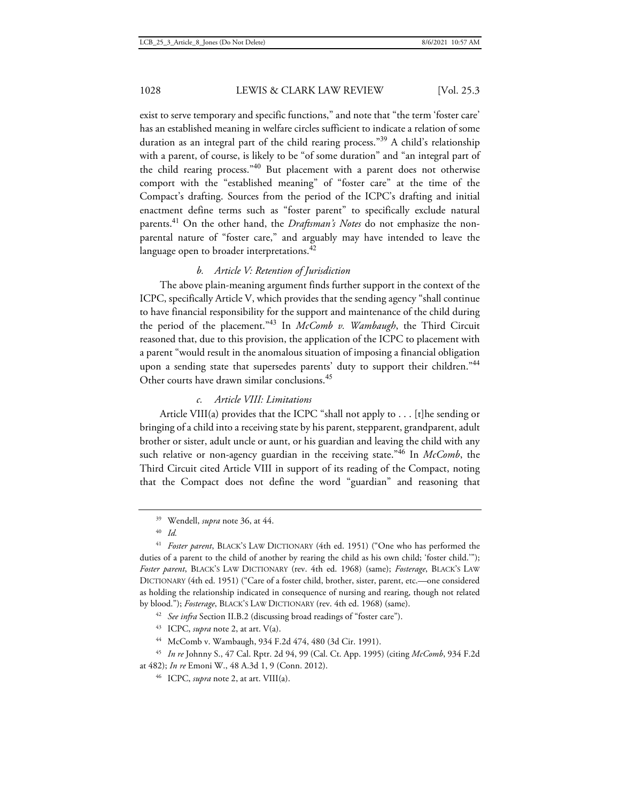exist to serve temporary and specific functions," and note that "the term 'foster care' has an established meaning in welfare circles sufficient to indicate a relation of some duration as an integral part of the child rearing process."<sup>39</sup> A child's relationship with a parent, of course, is likely to be "of some duration" and "an integral part of the child rearing process."<sup>40</sup> But placement with a parent does not otherwise comport with the "established meaning" of "foster care" at the time of the Compact's drafting. Sources from the period of the ICPC's drafting and initial enactment define terms such as "foster parent" to specifically exclude natural parents.<sup>41</sup> On the other hand, the *Draftsman's Notes* do not emphasize the nonparental nature of "foster care," and arguably may have intended to leave the language open to broader interpretations.<sup>42</sup>

# *b. Article V: Retention of Jurisdiction*

The above plain-meaning argument finds further support in the context of the ICPC, specifically Article V, which provides that the sending agency "shall continue to have financial responsibility for the support and maintenance of the child during the period of the placement."<sup>43</sup> In *McComb v. Wambaugh*, the Third Circuit reasoned that, due to this provision, the application of the ICPC to placement with a parent "would result in the anomalous situation of imposing a financial obligation upon a sending state that supersedes parents' duty to support their children."44 Other courts have drawn similar conclusions.<sup>45</sup>

## *c. Article VIII: Limitations*

Article VIII(a) provides that the ICPC "shall not apply to . . . [t]he sending or bringing of a child into a receiving state by his parent, stepparent, grandparent, adult brother or sister, adult uncle or aunt, or his guardian and leaving the child with any such relative or non-agency guardian in the receiving state."<sup>46</sup> In *McComb*, the Third Circuit cited Article VIII in support of its reading of the Compact, noting that the Compact does not define the word "guardian" and reasoning that

<sup>41</sup> *Foster parent*, BLACK'S LAW DICTIONARY (4th ed. 1951) ("One who has performed the duties of a parent to the child of another by rearing the child as his own child; 'foster child.'"); *Foster parent*, BLACK'S LAW DICTIONARY (rev. 4th ed. 1968) (same); *Fosterage*, BLACK'S LAW DICTIONARY (4th ed. 1951) ("Care of a foster child, brother, sister, parent, etc.—one considered as holding the relationship indicated in consequence of nursing and rearing, though not related by blood."); *Fosterage*, BLACK'S LAW DICTIONARY (rev. 4th ed. 1968) (same).

<sup>42</sup> See infra Section II.B.2 (discussing broad readings of "foster care").

<sup>43</sup> ICPC, *supra* note 2, at art. V(a).

<sup>44</sup> McComb v. Wambaugh, 934 F.2d 474, 480 (3d Cir. 1991).

<sup>45</sup> *In re* Johnny S., 47 Cal. Rptr. 2d 94, 99 (Cal. Ct. App. 1995) (citing *McComb*, 934 F.2d at 482); *In re* Emoni W., 48 A.3d 1, 9 (Conn. 2012).

<sup>39</sup> Wendell, *supra* note 36, at 44.

<sup>40</sup> *Id.*

<sup>46</sup> ICPC, *supra* note 2, at art. VIII(a).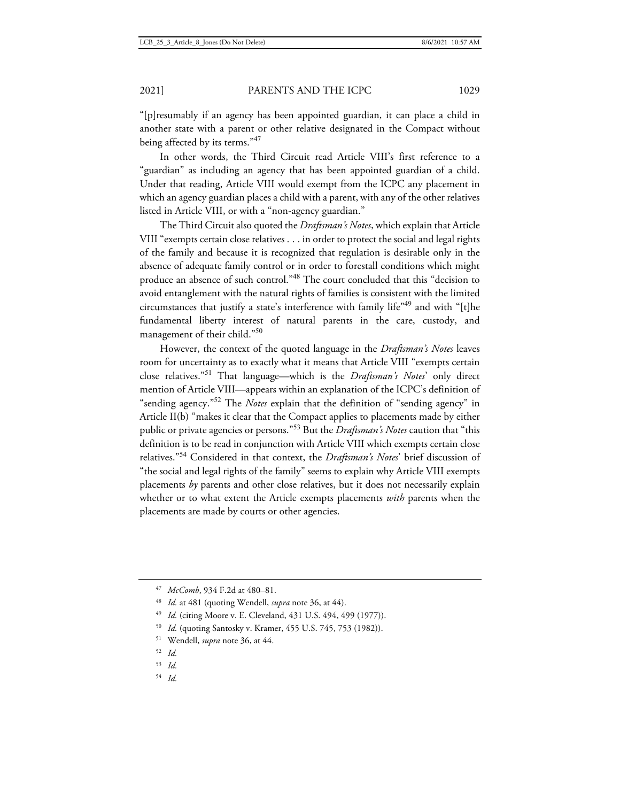"[p]resumably if an agency has been appointed guardian, it can place a child in another state with a parent or other relative designated in the Compact without being affected by its terms."47

In other words, the Third Circuit read Article VIII's first reference to a "guardian" as including an agency that has been appointed guardian of a child. Under that reading, Article VIII would exempt from the ICPC any placement in which an agency guardian places a child with a parent, with any of the other relatives listed in Article VIII, or with a "non-agency guardian."

The Third Circuit also quoted the *Draftsman's Notes*, which explain that Article VIII "exempts certain close relatives . . . in order to protect the social and legal rights of the family and because it is recognized that regulation is desirable only in the absence of adequate family control or in order to forestall conditions which might produce an absence of such control."<sup>48</sup> The court concluded that this "decision to avoid entanglement with the natural rights of families is consistent with the limited circumstances that justify a state's interference with family life"<sup>49</sup> and with "[t]he fundamental liberty interest of natural parents in the care, custody, and management of their child."<sup>50</sup>

However, the context of the quoted language in the *Draftsman's Notes* leaves room for uncertainty as to exactly what it means that Article VIII "exempts certain close relatives."<sup>51</sup> That language—which is the *Draftsman's Notes*' only direct mention of Article VIII—appears within an explanation of the ICPC's definition of "sending agency."<sup>52</sup> The *Notes* explain that the definition of "sending agency" in Article II(b) "makes it clear that the Compact applies to placements made by either public or private agencies or persons."<sup>53</sup> But the *Draftsman's Notes* caution that "this definition is to be read in conjunction with Article VIII which exempts certain close relatives."<sup>54</sup> Considered in that context, the *Draftsman's Notes*' brief discussion of "the social and legal rights of the family" seems to explain why Article VIII exempts placements *by* parents and other close relatives, but it does not necessarily explain whether or to what extent the Article exempts placements *with* parents when the placements are made by courts or other agencies.

<sup>51</sup> Wendell, *supra* note 36, at 44.

- <sup>53</sup> *Id.*
- <sup>54</sup> *Id.*

<sup>47</sup> *McComb*, 934 F.2d at 480–81.

<sup>48</sup> *Id.* at 481 (quoting Wendell, *supra* note 36, at 44).

<sup>49</sup> *Id.* (citing Moore v. E. Cleveland, 431 U.S. 494, 499 (1977)).

<sup>50</sup> *Id.* (quoting Santosky v. Kramer, 455 U.S. 745, 753 (1982)).

<sup>52</sup> *Id.*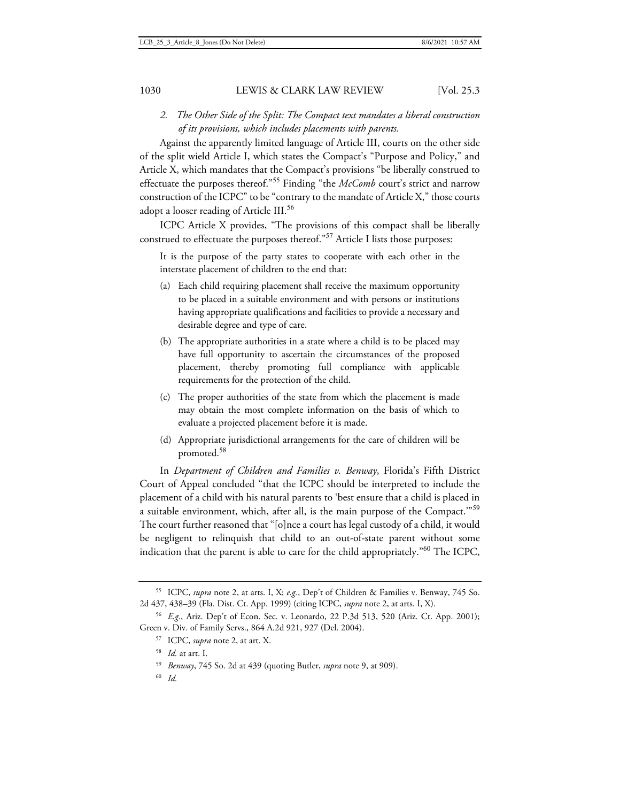*2. The Other Side of the Split: The Compact text mandates a liberal construction of its provisions, which includes placements with parents.* 

Against the apparently limited language of Article III, courts on the other side of the split wield Article I, which states the Compact's "Purpose and Policy," and Article X, which mandates that the Compact's provisions "be liberally construed to effectuate the purposes thereof."<sup>55</sup> Finding "the *McComb* court's strict and narrow construction of the ICPC" to be "contrary to the mandate of Article X," those courts adopt a looser reading of Article III.<sup>56</sup>

ICPC Article X provides, "The provisions of this compact shall be liberally construed to effectuate the purposes thereof."<sup>57</sup> Article I lists those purposes:

It is the purpose of the party states to cooperate with each other in the interstate placement of children to the end that:

- (a) Each child requiring placement shall receive the maximum opportunity to be placed in a suitable environment and with persons or institutions having appropriate qualifications and facilities to provide a necessary and desirable degree and type of care.
- (b) The appropriate authorities in a state where a child is to be placed may have full opportunity to ascertain the circumstances of the proposed placement, thereby promoting full compliance with applicable requirements for the protection of the child.
- (c) The proper authorities of the state from which the placement is made may obtain the most complete information on the basis of which to evaluate a projected placement before it is made.
- (d) Appropriate jurisdictional arrangements for the care of children will be promoted.<sup>58</sup>

In *Department of Children and Families v. Benway*, Florida's Fifth District Court of Appeal concluded "that the ICPC should be interpreted to include the placement of a child with his natural parents to 'best ensure that a child is placed in a suitable environment, which, after all, is the main purpose of the Compact."<sup>59</sup> The court further reasoned that "[o]nce a court has legal custody of a child, it would be negligent to relinquish that child to an out-of-state parent without some indication that the parent is able to care for the child appropriately."<sup>60</sup> The ICPC,

<sup>55</sup> ICPC, *supra* note 2, at arts. I, X; *e.g.*, Dep't of Children & Families v. Benway, 745 So. 2d 437, 438–39 (Fla. Dist. Ct. App. 1999) (citing ICPC, *supra* note 2, at arts. I, X).

<sup>56</sup> *E.g.*, Ariz. Dep't of Econ. Sec. v. Leonardo, 22 P.3d 513, 520 (Ariz. Ct. App. 2001); Green v. Div. of Family Servs., 864 A.2d 921, 927 (Del. 2004).

<sup>57</sup> ICPC, *supra* note 2, at art. X.

<sup>58</sup> *Id.* at art. I.

<sup>59</sup> *Benway*, 745 So. 2d at 439 (quoting Butler, *supra* note 9, at 909).

<sup>60</sup> *Id.*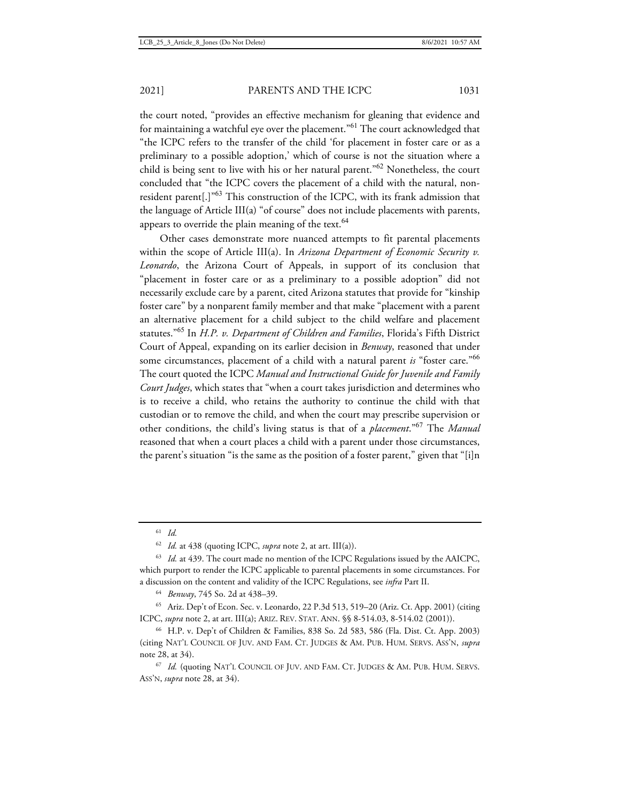the court noted, "provides an effective mechanism for gleaning that evidence and for maintaining a watchful eye over the placement."<sup>61</sup> The court acknowledged that "the ICPC refers to the transfer of the child 'for placement in foster care or as a preliminary to a possible adoption,' which of course is not the situation where a child is being sent to live with his or her natural parent."<sup>62</sup> Nonetheless, the court concluded that "the ICPC covers the placement of a child with the natural, nonresident parent[.]"<sup>63</sup> This construction of the ICPC, with its frank admission that the language of Article III(a) "of course" does not include placements with parents, appears to override the plain meaning of the text.<sup>64</sup>

Other cases demonstrate more nuanced attempts to fit parental placements within the scope of Article III(a). In *Arizona Department of Economic Security v. Leonardo*, the Arizona Court of Appeals, in support of its conclusion that "placement in foster care or as a preliminary to a possible adoption" did not necessarily exclude care by a parent, cited Arizona statutes that provide for "kinship foster care" by a nonparent family member and that make "placement with a parent an alternative placement for a child subject to the child welfare and placement statutes."<sup>65</sup> In *H.P. v. Department of Children and Families*, Florida's Fifth District Court of Appeal, expanding on its earlier decision in *Benway*, reasoned that under some circumstances, placement of a child with a natural parent *is* "foster care."<sup>66</sup> The court quoted the ICPC *Manual and Instructional Guide for Juvenile and Family Court Judges*, which states that "when a court takes jurisdiction and determines who is to receive a child, who retains the authority to continue the child with that custodian or to remove the child, and when the court may prescribe supervision or other conditions, the child's living status is that of a *placement*."<sup>67</sup> The *Manual* reasoned that when a court places a child with a parent under those circumstances, the parent's situation "is the same as the position of a foster parent," given that "[i]n

<sup>62</sup> *Id.* at 438 (quoting ICPC, *supra* note 2, at art. III(a)).

<sup>63</sup> *Id.* at 439. The court made no mention of the ICPC Regulations issued by the AAICPC, which purport to render the ICPC applicable to parental placements in some circumstances. For a discussion on the content and validity of the ICPC Regulations, see *infra* Part II.

<sup>64</sup> *Benway*, 745 So. 2d at 438–39.

<sup>65</sup> Ariz. Dep't of Econ. Sec. v. Leonardo, 22 P.3d 513, 519–20 (Ariz. Ct. App. 2001) (citing ICPC, *supra* note 2, at art. III(a); ARIZ. REV. STAT. ANN. §§ 8-514.03, 8-514.02 (2001)).

<sup>66</sup> H.P. v. Dep't of Children & Families, 838 So. 2d 583, 586 (Fla. Dist. Ct. App. 2003) (citing NAT'L COUNCIL OF JUV. AND FAM. CT. JUDGES & AM. PUB. HUM. SERVS. ASS'N, *supra* note 28, at 34).

<sup>67</sup> *Id.* (quoting NAT'L COUNCIL OF JUV. AND FAM. CT. JUDGES & AM. PUB. HUM. SERVS. ASS'N, *supra* note 28, at 34).

<sup>61</sup> *Id.*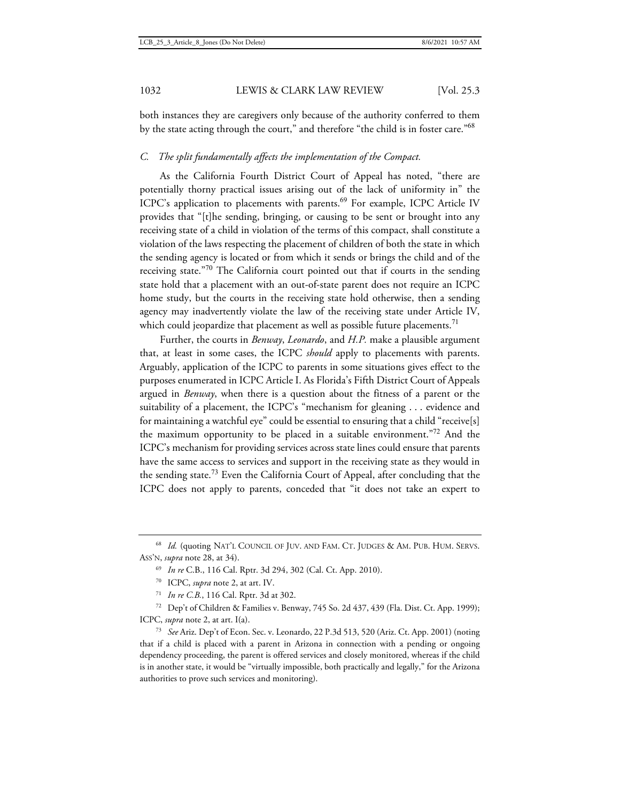both instances they are caregivers only because of the authority conferred to them by the state acting through the court," and therefore "the child is in foster care."<sup>68</sup>

## *C. The split fundamentally affects the implementation of the Compact.*

As the California Fourth District Court of Appeal has noted, "there are potentially thorny practical issues arising out of the lack of uniformity in" the ICPC's application to placements with parents.<sup>69</sup> For example, ICPC Article IV provides that "[t]he sending, bringing, or causing to be sent or brought into any receiving state of a child in violation of the terms of this compact, shall constitute a violation of the laws respecting the placement of children of both the state in which the sending agency is located or from which it sends or brings the child and of the receiving state."<sup>70</sup> The California court pointed out that if courts in the sending state hold that a placement with an out-of-state parent does not require an ICPC home study, but the courts in the receiving state hold otherwise, then a sending agency may inadvertently violate the law of the receiving state under Article IV, which could jeopardize that placement as well as possible future placements.<sup>71</sup>

Further, the courts in *Benway*, *Leonardo*, and *H.P.* make a plausible argument that, at least in some cases, the ICPC *should* apply to placements with parents. Arguably, application of the ICPC to parents in some situations gives effect to the purposes enumerated in ICPC Article I. As Florida's Fifth District Court of Appeals argued in *Benway*, when there is a question about the fitness of a parent or the suitability of a placement, the ICPC's "mechanism for gleaning . . . evidence and for maintaining a watchful eye" could be essential to ensuring that a child "receive[s] the maximum opportunity to be placed in a suitable environment.<sup>"72</sup> And the ICPC's mechanism for providing services across state lines could ensure that parents have the same access to services and support in the receiving state as they would in the sending state.<sup>73</sup> Even the California Court of Appeal, after concluding that the ICPC does not apply to parents, conceded that "it does not take an expert to

<sup>72</sup> Dep't of Children & Families v. Benway, 745 So. 2d 437, 439 (Fla. Dist. Ct. App. 1999); ICPC, *supra* note 2, at art. I(a).

<sup>73</sup> *See* Ariz. Dep't of Econ. Sec. v. Leonardo, 22 P.3d 513, 520 (Ariz. Ct. App. 2001) (noting that if a child is placed with a parent in Arizona in connection with a pending or ongoing dependency proceeding, the parent is offered services and closely monitored, whereas if the child is in another state, it would be "virtually impossible, both practically and legally," for the Arizona authorities to prove such services and monitoring).

<sup>68</sup> *Id.* (quoting NAT'L COUNCIL OF JUV. AND FAM. CT. JUDGES & AM. PUB. HUM. SERVS. ASS'N, *supra* note 28, at 34).

<sup>69</sup> *In re* C.B., 116 Cal. Rptr. 3d 294, 302 (Cal. Ct. App. 2010).

<sup>70</sup> ICPC, *supra* note 2, at art. IV.

<sup>71</sup> *In re C.B.*, 116 Cal. Rptr. 3d at 302.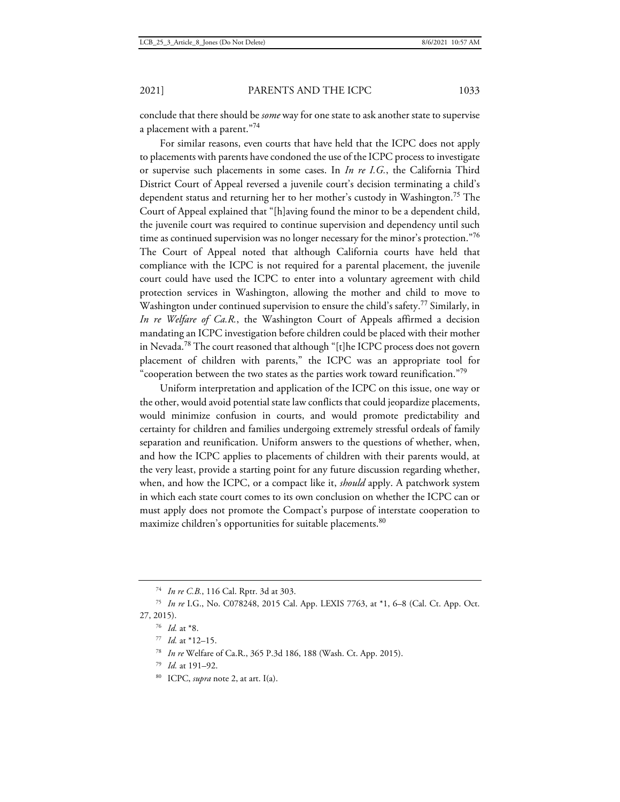conclude that there should be *some* way for one state to ask another state to supervise a placement with a parent."<sup>74</sup>

For similar reasons, even courts that have held that the ICPC does not apply to placements with parents have condoned the use of the ICPC process to investigate or supervise such placements in some cases. In *In re I.G.*, the California Third District Court of Appeal reversed a juvenile court's decision terminating a child's dependent status and returning her to her mother's custody in Washington.<sup>75</sup> The Court of Appeal explained that "[h]aving found the minor to be a dependent child, the juvenile court was required to continue supervision and dependency until such time as continued supervision was no longer necessary for the minor's protection."<sup>76</sup> The Court of Appeal noted that although California courts have held that compliance with the ICPC is not required for a parental placement, the juvenile court could have used the ICPC to enter into a voluntary agreement with child protection services in Washington, allowing the mother and child to move to Washington under continued supervision to ensure the child's safety.<sup>77</sup> Similarly, in *In re Welfare of Ca.R.*, the Washington Court of Appeals affirmed a decision mandating an ICPC investigation before children could be placed with their mother in Nevada.<sup>78</sup> The court reasoned that although "[t]he ICPC process does not govern placement of children with parents," the ICPC was an appropriate tool for "cooperation between the two states as the parties work toward reunification."<sup>79</sup>

Uniform interpretation and application of the ICPC on this issue, one way or the other, would avoid potential state law conflicts that could jeopardize placements, would minimize confusion in courts, and would promote predictability and certainty for children and families undergoing extremely stressful ordeals of family separation and reunification. Uniform answers to the questions of whether, when, and how the ICPC applies to placements of children with their parents would, at the very least, provide a starting point for any future discussion regarding whether, when, and how the ICPC, or a compact like it, *should* apply. A patchwork system in which each state court comes to its own conclusion on whether the ICPC can or must apply does not promote the Compact's purpose of interstate cooperation to maximize children's opportunities for suitable placements.<sup>80</sup>

<sup>80</sup> ICPC, *supra* note 2, at art. I(a).

<sup>74</sup> *In re C.B.*, 116 Cal. Rptr. 3d at 303.

<sup>75</sup> *In re* I.G., No. C078248, 2015 Cal. App. LEXIS 7763, at \*1, 6–8 (Cal. Ct. App. Oct. 27, 2015).

<sup>76</sup> *Id.* at \*8.

<sup>77</sup> *Id.* at \*12–15.

<sup>78</sup> *In re* Welfare of Ca.R., 365 P.3d 186, 188 (Wash. Ct. App. 2015).

<sup>79</sup> *Id.* at 191–92.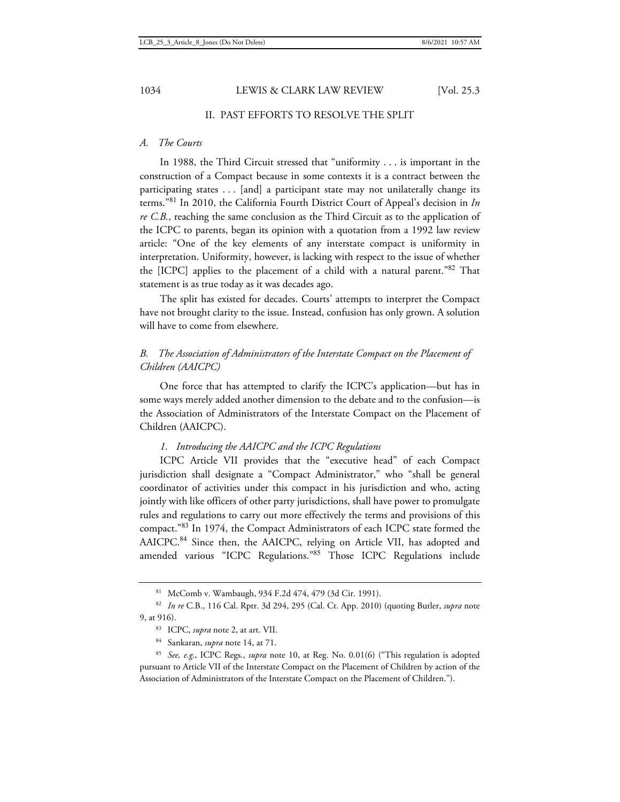# II. PAST EFFORTS TO RESOLVE THE SPLIT

#### *A. The Courts*

In 1988, the Third Circuit stressed that "uniformity . . . is important in the construction of a Compact because in some contexts it is a contract between the participating states . . . [and] a participant state may not unilaterally change its terms."<sup>81</sup> In 2010, the California Fourth District Court of Appeal's decision in *In re C.B.*, reaching the same conclusion as the Third Circuit as to the application of the ICPC to parents, began its opinion with a quotation from a 1992 law review article: "One of the key elements of any interstate compact is uniformity in interpretation. Uniformity, however, is lacking with respect to the issue of whether the [ICPC] applies to the placement of a child with a natural parent."<sup>82</sup> That statement is as true today as it was decades ago.

The split has existed for decades. Courts' attempts to interpret the Compact have not brought clarity to the issue. Instead, confusion has only grown. A solution will have to come from elsewhere.

# *B. The Association of Administrators of the Interstate Compact on the Placement of Children (AAICPC)*

One force that has attempted to clarify the ICPC's application—but has in some ways merely added another dimension to the debate and to the confusion—is the Association of Administrators of the Interstate Compact on the Placement of Children (AAICPC).

#### *1. Introducing the AAICPC and the ICPC Regulations*

ICPC Article VII provides that the "executive head" of each Compact jurisdiction shall designate a "Compact Administrator," who "shall be general coordinator of activities under this compact in his jurisdiction and who, acting jointly with like officers of other party jurisdictions, shall have power to promulgate rules and regulations to carry out more effectively the terms and provisions of this compact."<sup>83</sup> In 1974, the Compact Administrators of each ICPC state formed the AAICPC.<sup>84</sup> Since then, the AAICPC, relying on Article VII, has adopted and amended various "ICPC Regulations."<sup>85</sup> Those ICPC Regulations include

<sup>81</sup> McComb v. Wambaugh, 934 F.2d 474, 479 (3d Cir. 1991).

<sup>82</sup> *In re* C.B., 116 Cal. Rptr. 3d 294, 295 (Cal. Ct. App. 2010) (quoting Butler, *supra* note 9, at 916).

<sup>83</sup> ICPC, *supra* note 2, at art. VII.

<sup>84</sup> Sankaran, *supra* note 14, at 71.

<sup>85</sup> *See, e.g.*, ICPC Regs., *supra* note 10, at Reg. No. 0.01(6) ("This regulation is adopted pursuant to Article VII of the Interstate Compact on the Placement of Children by action of the Association of Administrators of the Interstate Compact on the Placement of Children.").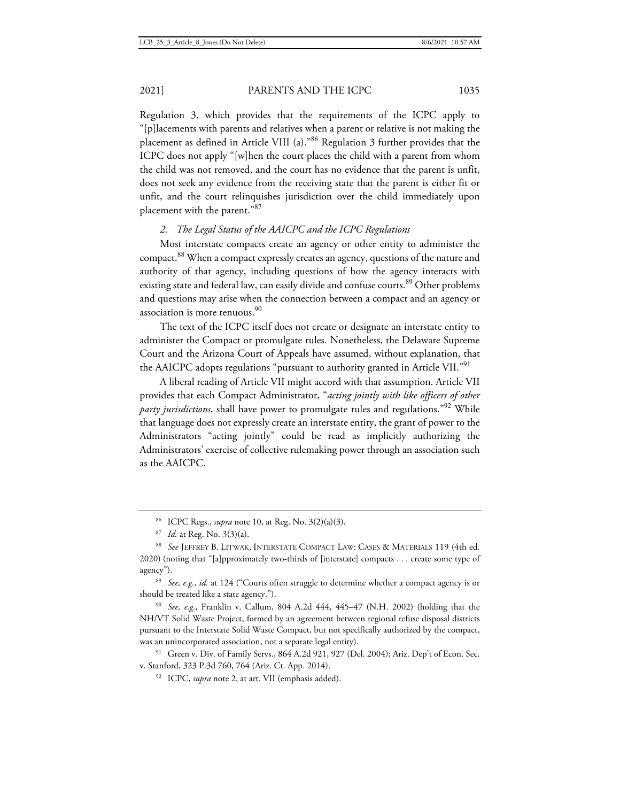Regulation 3, which provides that the requirements of the ICPC apply to "[p]lacements with parents and relatives when a parent or relative is not making the placement as defined in Article VIII (a)."<sup>86</sup> Regulation 3 further provides that the ICPC does not apply "[w]hen the court places the child with a parent from whom the child was not removed, and the court has no evidence that the parent is unfit, does not seek any evidence from the receiving state that the parent is either fit or unfit, and the court relinquishes jurisdiction over the child immediately upon placement with the parent."<sup>87</sup>

### *2. The Legal Status of the AAICPC and the ICPC Regulations*

Most interstate compacts create an agency or other entity to administer the compact.<sup>88</sup> When a compact expressly creates an agency, questions of the nature and authority of that agency, including questions of how the agency interacts with existing state and federal law, can easily divide and confuse courts.<sup>89</sup> Other problems and questions may arise when the connection between a compact and an agency or association is more tenuous.<sup>90</sup>

The text of the ICPC itself does not create or designate an interstate entity to administer the Compact or promulgate rules. Nonetheless, the Delaware Supreme Court and the Arizona Court of Appeals have assumed, without explanation, that the AAICPC adopts regulations "pursuant to authority granted in Article VII."91

A liberal reading of Article VII might accord with that assumption. Article VII provides that each Compact Administrator, "*acting jointly with like officers of other party jurisdictions*, shall have power to promulgate rules and regulations."<sup>92</sup> While that language does not expressly create an interstate entity, the grant of power to the Administrators "acting jointly" could be read as implicitly authorizing the Administrators' exercise of collective rulemaking power through an association such as the AAICPC.

<sup>89</sup> *See, e.g.*, *id.* at 124 ("Courts often struggle to determine whether a compact agency is or should be treated like a state agency.").

<sup>90</sup> *See, e.g.*, Franklin v. Callum, 804 A.2d 444, 445–47 (N.H. 2002) (holding that the NH/VT Solid Waste Project, formed by an agreement between regional refuse disposal districts pursuant to the Interstate Solid Waste Compact, but not specifically authorized by the compact, was an unincorporated association, not a separate legal entity).

<sup>91</sup> Green v. Div. of Family Servs., 864 A.2d 921, 927 (Del. 2004); Ariz. Dep't of Econ. Sec. v. Stanford, 323 P.3d 760, 764 (Ariz. Ct. App. 2014).

<sup>92</sup> ICPC, *supra* note 2, at art. VII (emphasis added).

<sup>86</sup> ICPC Regs., *supra* note 10, at Reg. No. 3(2)(a)(3).

<sup>87</sup> *Id.* at Reg. No. 3(3)(a).

<sup>88</sup> *See* JEFFREY B. LITWAK, INTERSTATE COMPACT LAW: CASES & MATERIALS 119 (4th ed. 2020) (noting that "[a]pproximately two-thirds of [interstate] compacts . . . create some type of agency").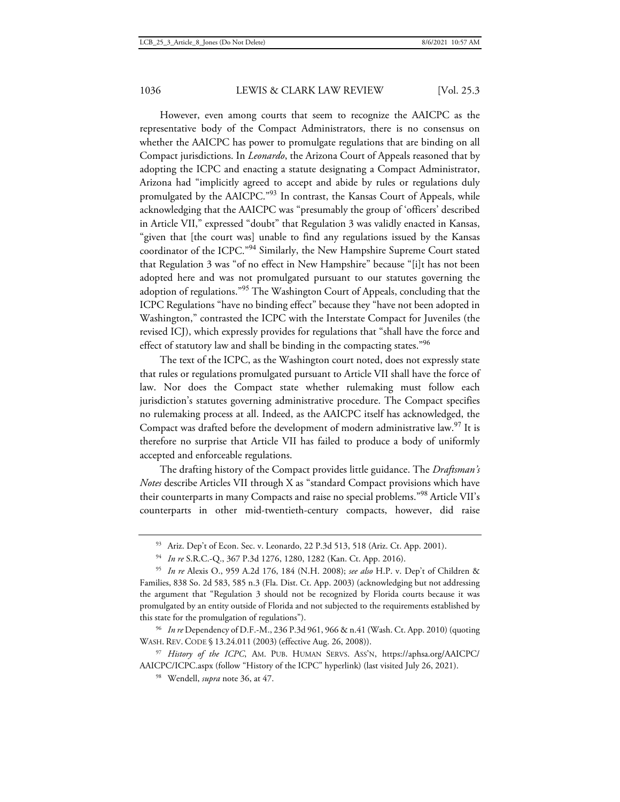However, even among courts that seem to recognize the AAICPC as the representative body of the Compact Administrators, there is no consensus on whether the AAICPC has power to promulgate regulations that are binding on all Compact jurisdictions. In *Leonardo*, the Arizona Court of Appeals reasoned that by adopting the ICPC and enacting a statute designating a Compact Administrator, Arizona had "implicitly agreed to accept and abide by rules or regulations duly promulgated by the AAICPC."<sup>93</sup> In contrast, the Kansas Court of Appeals, while acknowledging that the AAICPC was "presumably the group of 'officers' described in Article VII," expressed "doubt" that Regulation 3 was validly enacted in Kansas, "given that [the court was] unable to find any regulations issued by the Kansas coordinator of the ICPC."<sup>94</sup> Similarly, the New Hampshire Supreme Court stated that Regulation 3 was "of no effect in New Hampshire" because "[i]t has not been adopted here and was not promulgated pursuant to our statutes governing the adoption of regulations."<sup>95</sup> The Washington Court of Appeals, concluding that the ICPC Regulations "have no binding effect" because they "have not been adopted in Washington," contrasted the ICPC with the Interstate Compact for Juveniles (the revised ICJ), which expressly provides for regulations that "shall have the force and effect of statutory law and shall be binding in the compacting states."<sup>96</sup>

The text of the ICPC, as the Washington court noted, does not expressly state that rules or regulations promulgated pursuant to Article VII shall have the force of law. Nor does the Compact state whether rulemaking must follow each jurisdiction's statutes governing administrative procedure. The Compact specifies no rulemaking process at all. Indeed, as the AAICPC itself has acknowledged, the Compact was drafted before the development of modern administrative law.<sup>97</sup> It is therefore no surprise that Article VII has failed to produce a body of uniformly accepted and enforceable regulations.

The drafting history of the Compact provides little guidance. The *Draftsman's Notes* describe Articles VII through X as "standard Compact provisions which have their counterparts in many Compacts and raise no special problems."<sup>98</sup> Article VII's counterparts in other mid-twentieth-century compacts, however, did raise

<sup>96</sup> *In re* Dependency of D.F.-M., 236 P.3d 961, 966 & n.41 (Wash. Ct. App. 2010) (quoting WASH. REV. CODE § 13.24.011 (2003) (effective Aug. 26, 2008)).

<sup>97</sup> *History of the ICPC*, AM. PUB. HUMAN SERVS. ASS'N, https://aphsa.org/AAICPC/ AAICPC/ICPC.aspx (follow "History of the ICPC" hyperlink) (last visited July 26, 2021).

<sup>98</sup> Wendell, *supra* note 36, at 47.

<sup>93</sup> Ariz. Dep't of Econ. Sec. v. Leonardo, 22 P.3d 513, 518 (Ariz. Ct. App. 2001).

<sup>94</sup> *In re* S.R.C.-Q., 367 P.3d 1276, 1280, 1282 (Kan. Ct. App. 2016).

<sup>95</sup> *In re* Alexis O., 959 A.2d 176, 184 (N.H. 2008); *see also* H.P. v. Dep't of Children & Families, 838 So. 2d 583, 585 n.3 (Fla. Dist. Ct. App. 2003) (acknowledging but not addressing the argument that "Regulation 3 should not be recognized by Florida courts because it was promulgated by an entity outside of Florida and not subjected to the requirements established by this state for the promulgation of regulations").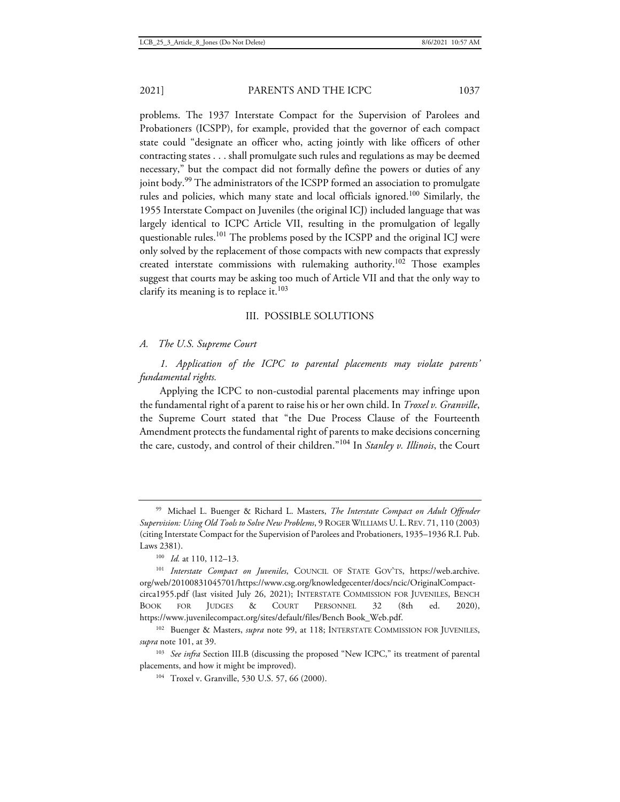problems. The 1937 Interstate Compact for the Supervision of Parolees and Probationers (ICSPP), for example, provided that the governor of each compact state could "designate an officer who, acting jointly with like officers of other contracting states . . . shall promulgate such rules and regulations as may be deemed necessary," but the compact did not formally define the powers or duties of any joint body.<sup>99</sup> The administrators of the ICSPP formed an association to promulgate rules and policies, which many state and local officials ignored.<sup>100</sup> Similarly, the 1955 Interstate Compact on Juveniles (the original ICJ) included language that was largely identical to ICPC Article VII, resulting in the promulgation of legally questionable rules.<sup>101</sup> The problems posed by the ICSPP and the original ICJ were only solved by the replacement of those compacts with new compacts that expressly created interstate commissions with rulemaking authority.<sup>102</sup> Those examples suggest that courts may be asking too much of Article VII and that the only way to clarify its meaning is to replace it.<sup>103</sup>

### III. POSSIBLE SOLUTIONS

### *A. The U.S. Supreme Court*

*1. Application of the ICPC to parental placements may violate parents' fundamental rights.* 

Applying the ICPC to non-custodial parental placements may infringe upon the fundamental right of a parent to raise his or her own child. In *Troxel v. Granville*, the Supreme Court stated that "the Due Process Clause of the Fourteenth Amendment protects the fundamental right of parents to make decisions concerning the care, custody, and control of their children."<sup>104</sup> In *Stanley v. Illinois*, the Court

<sup>99</sup> Michael L. Buenger & Richard L. Masters, *The Interstate Compact on Adult Offender Supervision: Using Old Tools to Solve New Problems*, 9 ROGER WILLIAMS U. L.REV. 71, 110 (2003) (citing Interstate Compact for the Supervision of Parolees and Probationers, 1935–1936 R.I. Pub. Laws 2381).

<sup>100</sup> *Id.* at 110, 112–13.

<sup>101</sup> *Interstate Compact on Juveniles*, COUNCIL OF STATE GOV'TS, https://web.archive. org/web/20100831045701/https://www.csg.org/knowledgecenter/docs/ncic/OriginalCompactcirca1955.pdf (last visited July 26, 2021); INTERSTATE COMMISSION FOR JUVENILES, BENCH BOOK FOR JUDGES & COURT PERSONNEL 32 (8th ed. 2020), https://www.juvenilecompact.org/sites/default/files/Bench Book\_Web.pdf.

<sup>&</sup>lt;sup>102</sup> Buenger & Masters, *supra* note 99, at 118; INTERSTATE COMMISSION FOR JUVENILES, *supra* note 101, at 39.

<sup>&</sup>lt;sup>103</sup> See infra Section III.B (discussing the proposed "New ICPC," its treatment of parental placements, and how it might be improved).

<sup>104</sup> Troxel v. Granville, 530 U.S. 57, 66 (2000).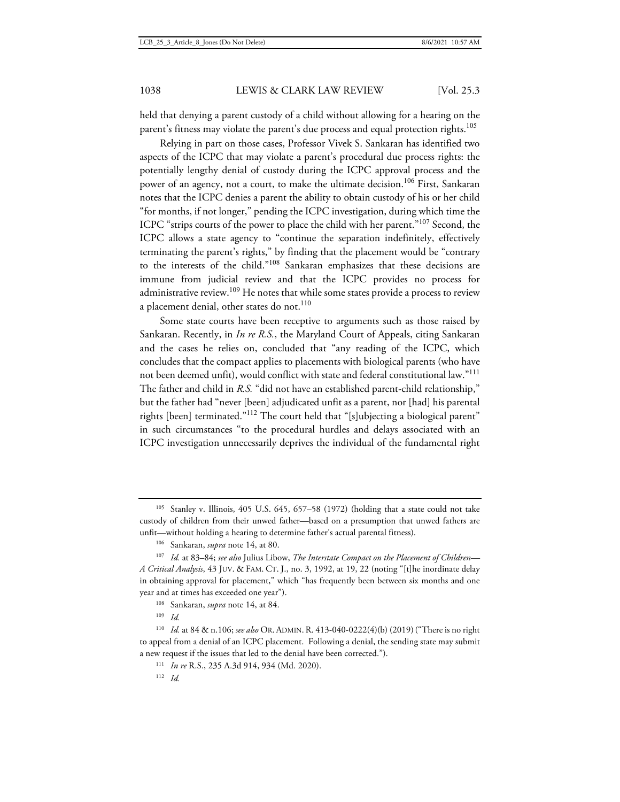held that denying a parent custody of a child without allowing for a hearing on the parent's fitness may violate the parent's due process and equal protection rights.<sup>105</sup>

Relying in part on those cases, Professor Vivek S. Sankaran has identified two aspects of the ICPC that may violate a parent's procedural due process rights: the potentially lengthy denial of custody during the ICPC approval process and the power of an agency, not a court, to make the ultimate decision.<sup>106</sup> First, Sankaran notes that the ICPC denies a parent the ability to obtain custody of his or her child "for months, if not longer," pending the ICPC investigation, during which time the ICPC "strips courts of the power to place the child with her parent."<sup>107</sup> Second, the ICPC allows a state agency to "continue the separation indefinitely, effectively terminating the parent's rights," by finding that the placement would be "contrary to the interests of the child."<sup>108</sup> Sankaran emphasizes that these decisions are immune from judicial review and that the ICPC provides no process for administrative review.<sup>109</sup> He notes that while some states provide a process to review a placement denial, other states do not.<sup>110</sup>

Some state courts have been receptive to arguments such as those raised by Sankaran. Recently, in *In re R.S.*, the Maryland Court of Appeals, citing Sankaran and the cases he relies on, concluded that "any reading of the ICPC, which concludes that the compact applies to placements with biological parents (who have not been deemed unfit), would conflict with state and federal constitutional law."<sup>111</sup> The father and child in *R.S.* "did not have an established parent-child relationship," but the father had "never [been] adjudicated unfit as a parent, nor [had] his parental rights [been] terminated."<sup>112</sup> The court held that "[s]ubjecting a biological parent" in such circumstances "to the procedural hurdles and delays associated with an ICPC investigation unnecessarily deprives the individual of the fundamental right

<sup>105</sup> Stanley v. Illinois, 405 U.S. 645, 657–58 (1972) (holding that a state could not take custody of children from their unwed father—based on a presumption that unwed fathers are unfit—without holding a hearing to determine father's actual parental fitness).

<sup>106</sup> Sankaran, *supra* note 14, at 80.

<sup>107</sup> *Id.* at 83–84; *see also* Julius Libow, *The Interstate Compact on the Placement of Children— A Critical Analysis*, 43 JUV. & FAM. CT. J., no. 3, 1992, at 19, 22 (noting "[t]he inordinate delay in obtaining approval for placement," which "has frequently been between six months and one year and at times has exceeded one year").

<sup>108</sup> Sankaran, *supra* note 14, at 84.

<sup>109</sup> *Id.*

<sup>110</sup> *Id.* at 84 & n.106; *see also* OR. ADMIN.R. 413-040-0222(4)(b) (2019) ("There is no right to appeal from a denial of an ICPC placement. Following a denial, the sending state may submit a new request if the issues that led to the denial have been corrected.").

<sup>111</sup> *In re* R.S., 235 A.3d 914, 934 (Md. 2020).

<sup>112</sup> *Id.*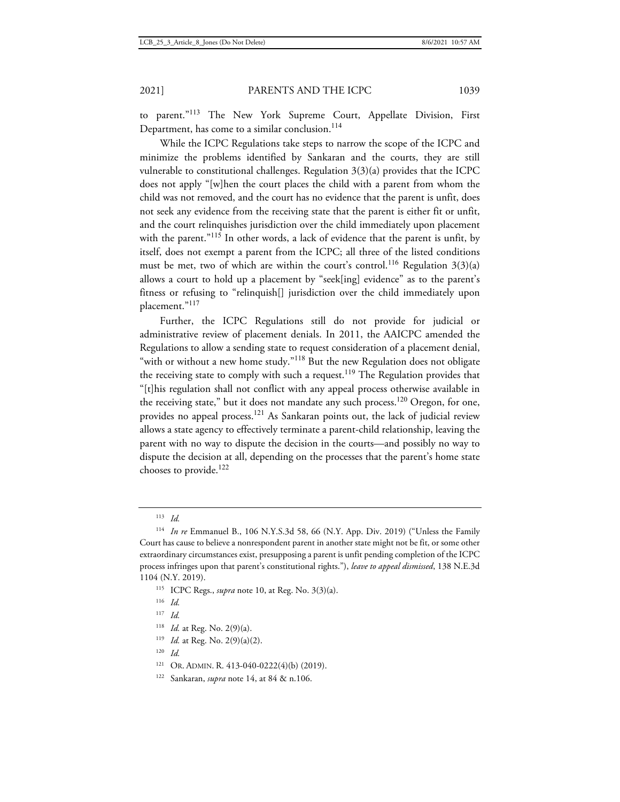to parent."<sup>113</sup> The New York Supreme Court, Appellate Division, First Department, has come to a similar conclusion.<sup>114</sup>

While the ICPC Regulations take steps to narrow the scope of the ICPC and minimize the problems identified by Sankaran and the courts, they are still vulnerable to constitutional challenges. Regulation 3(3)(a) provides that the ICPC does not apply "[w]hen the court places the child with a parent from whom the child was not removed, and the court has no evidence that the parent is unfit, does not seek any evidence from the receiving state that the parent is either fit or unfit, and the court relinquishes jurisdiction over the child immediately upon placement with the parent."<sup>115</sup> In other words, a lack of evidence that the parent is unfit, by itself, does not exempt a parent from the ICPC; all three of the listed conditions must be met, two of which are within the court's control.<sup>116</sup> Regulation  $3(3)(a)$ allows a court to hold up a placement by "seek[ing] evidence" as to the parent's fitness or refusing to "relinquish[] jurisdiction over the child immediately upon placement."<sup>117</sup>

Further, the ICPC Regulations still do not provide for judicial or administrative review of placement denials. In 2011, the AAICPC amended the Regulations to allow a sending state to request consideration of a placement denial, "with or without a new home study."<sup>118</sup> But the new Regulation does not obligate the receiving state to comply with such a request.<sup>119</sup> The Regulation provides that "[t]his regulation shall not conflict with any appeal process otherwise available in the receiving state," but it does not mandate any such process.<sup>120</sup> Oregon, for one, provides no appeal process.<sup>121</sup> As Sankaran points out, the lack of judicial review allows a state agency to effectively terminate a parent-child relationship, leaving the parent with no way to dispute the decision in the courts—and possibly no way to dispute the decision at all, depending on the processes that the parent's home state chooses to provide.<sup>122</sup>

- <sup>118</sup> *Id.* at Reg. No. 2(9)(a).
- <sup>119</sup> *Id.* at Reg. No. 2(9)(a)(2).
- <sup>120</sup> *Id.*
- <sup>121</sup> OR. ADMIN. R. 413-040-0222(4)(b) (2019).
- <sup>122</sup> Sankaran, *supra* note 14, at 84 & n.106.

<sup>113</sup> *Id.*

<sup>114</sup> *In re* Emmanuel B., 106 N.Y.S.3d 58, 66 (N.Y. App. Div. 2019) ("Unless the Family Court has cause to believe a nonrespondent parent in another state might not be fit, or some other extraordinary circumstances exist, presupposing a parent is unfit pending completion of the ICPC process infringes upon that parent's constitutional rights."), *leave to appeal dismissed*, 138 N.E.3d 1104 (N.Y. 2019).

<sup>115</sup> ICPC Regs., *supra* note 10, at Reg. No. 3(3)(a).

<sup>116</sup> *Id.*

<sup>117</sup> *Id.*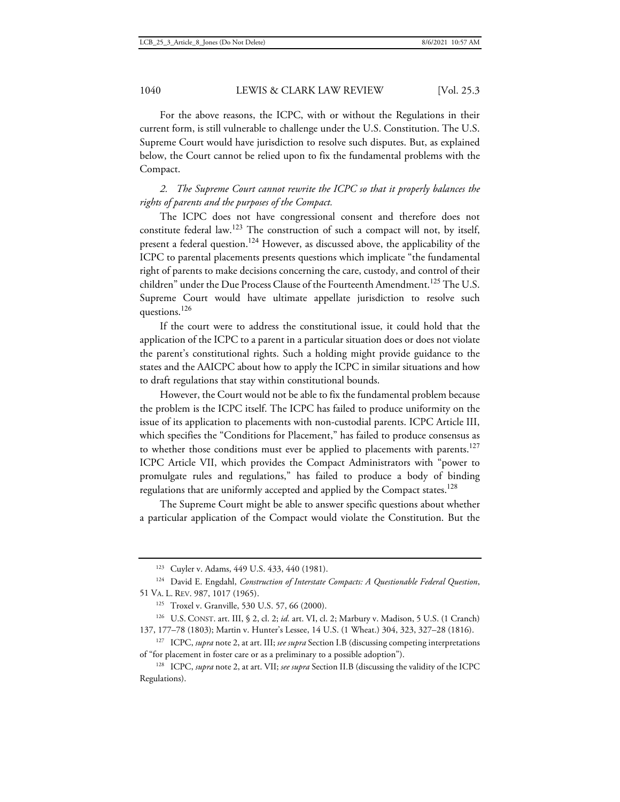For the above reasons, the ICPC, with or without the Regulations in their current form, is still vulnerable to challenge under the U.S. Constitution. The U.S. Supreme Court would have jurisdiction to resolve such disputes. But, as explained below, the Court cannot be relied upon to fix the fundamental problems with the Compact.

# *2. The Supreme Court cannot rewrite the ICPC so that it properly balances the rights of parents and the purposes of the Compact.*

The ICPC does not have congressional consent and therefore does not constitute federal law.<sup>123</sup> The construction of such a compact will not, by itself, present a federal question.<sup>124</sup> However, as discussed above, the applicability of the ICPC to parental placements presents questions which implicate "the fundamental right of parents to make decisions concerning the care, custody, and control of their children" under the Due Process Clause of the Fourteenth Amendment.<sup>125</sup> The U.S. Supreme Court would have ultimate appellate jurisdiction to resolve such questions.<sup>126</sup>

If the court were to address the constitutional issue, it could hold that the application of the ICPC to a parent in a particular situation does or does not violate the parent's constitutional rights. Such a holding might provide guidance to the states and the AAICPC about how to apply the ICPC in similar situations and how to draft regulations that stay within constitutional bounds.

However, the Court would not be able to fix the fundamental problem because the problem is the ICPC itself. The ICPC has failed to produce uniformity on the issue of its application to placements with non-custodial parents. ICPC Article III, which specifies the "Conditions for Placement," has failed to produce consensus as to whether those conditions must ever be applied to placements with parents.<sup>127</sup> ICPC Article VII, which provides the Compact Administrators with "power to promulgate rules and regulations," has failed to produce a body of binding regulations that are uniformly accepted and applied by the Compact states.<sup>128</sup>

The Supreme Court might be able to answer specific questions about whether a particular application of the Compact would violate the Constitution. But the

<sup>123</sup> Cuyler v. Adams, 449 U.S. 433, 440 (1981).

<sup>124</sup> David E. Engdahl, *Construction of Interstate Compacts: A Questionable Federal Question*, 51 VA. L. REV. 987, 1017 (1965).

<sup>125</sup> Troxel v. Granville, 530 U.S. 57, 66 (2000).

<sup>126</sup> U.S. CONST. art. III, § 2, cl. 2; *id.* art. VI, cl. 2; Marbury v. Madison, 5 U.S. (1 Cranch) 137, 177–78 (1803); Martin v. Hunter's Lessee, 14 U.S. (1 Wheat.) 304, 323, 327–28 (1816).

<sup>127</sup> ICPC, *supra* note 2, at art. III; *see supra* Section I.B (discussing competing interpretations of "for placement in foster care or as a preliminary to a possible adoption").

<sup>128</sup> ICPC, *supra* note 2, at art. VII; *see supra* Section II.B (discussing the validity of the ICPC Regulations).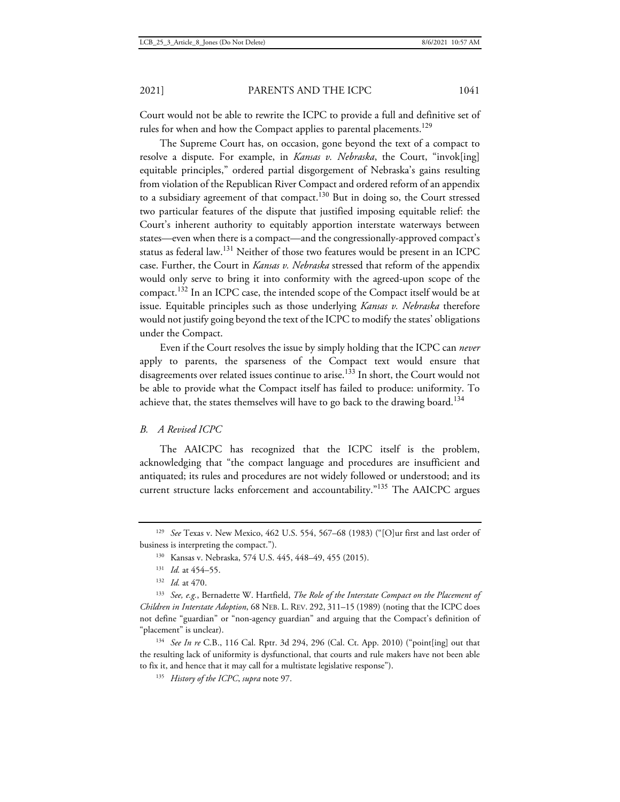Court would not be able to rewrite the ICPC to provide a full and definitive set of rules for when and how the Compact applies to parental placements.<sup>129</sup>

The Supreme Court has, on occasion, gone beyond the text of a compact to resolve a dispute. For example, in *Kansas v. Nebraska*, the Court, "invok[ing] equitable principles," ordered partial disgorgement of Nebraska's gains resulting from violation of the Republican River Compact and ordered reform of an appendix to a subsidiary agreement of that compact.<sup>130</sup> But in doing so, the Court stressed two particular features of the dispute that justified imposing equitable relief: the Court's inherent authority to equitably apportion interstate waterways between states—even when there is a compact—and the congressionally-approved compact's status as federal law.<sup>131</sup> Neither of those two features would be present in an ICPC case. Further, the Court in *Kansas v. Nebraska* stressed that reform of the appendix would only serve to bring it into conformity with the agreed-upon scope of the compact.<sup>132</sup> In an ICPC case, the intended scope of the Compact itself would be at issue. Equitable principles such as those underlying *Kansas v. Nebraska* therefore would not justify going beyond the text of the ICPC to modify the states' obligations under the Compact.

Even if the Court resolves the issue by simply holding that the ICPC can *never* apply to parents, the sparseness of the Compact text would ensure that disagreements over related issues continue to arise.<sup>133</sup> In short, the Court would not be able to provide what the Compact itself has failed to produce: uniformity. To achieve that, the states themselves will have to go back to the drawing board.<sup>134</sup>

### *B. A Revised ICPC*

The AAICPC has recognized that the ICPC itself is the problem, acknowledging that "the compact language and procedures are insufficient and antiquated; its rules and procedures are not widely followed or understood; and its current structure lacks enforcement and accountability."<sup>135</sup> The AAICPC argues

<sup>134</sup> *See In re* C.B., 116 Cal. Rptr. 3d 294, 296 (Cal. Ct. App. 2010) ("point[ing] out that the resulting lack of uniformity is dysfunctional, that courts and rule makers have not been able to fix it, and hence that it may call for a multistate legislative response").

<sup>135</sup> *History of the ICPC*, *supra* note 97.

<sup>129</sup> *See* Texas v. New Mexico, 462 U.S. 554, 567–68 (1983) ("[O]ur first and last order of business is interpreting the compact.").

<sup>130</sup> Kansas v. Nebraska, 574 U.S. 445, 448–49, 455 (2015).

<sup>131</sup> *Id.* at 454–55.

<sup>132</sup> *Id.* at 470.

<sup>133</sup> *See, e.g.*, Bernadette W. Hartfield, *The Role of the Interstate Compact on the Placement of Children in Interstate Adoption*, 68 NEB. L. REV. 292, 311–15 (1989) (noting that the ICPC does not define "guardian" or "non-agency guardian" and arguing that the Compact's definition of "placement" is unclear).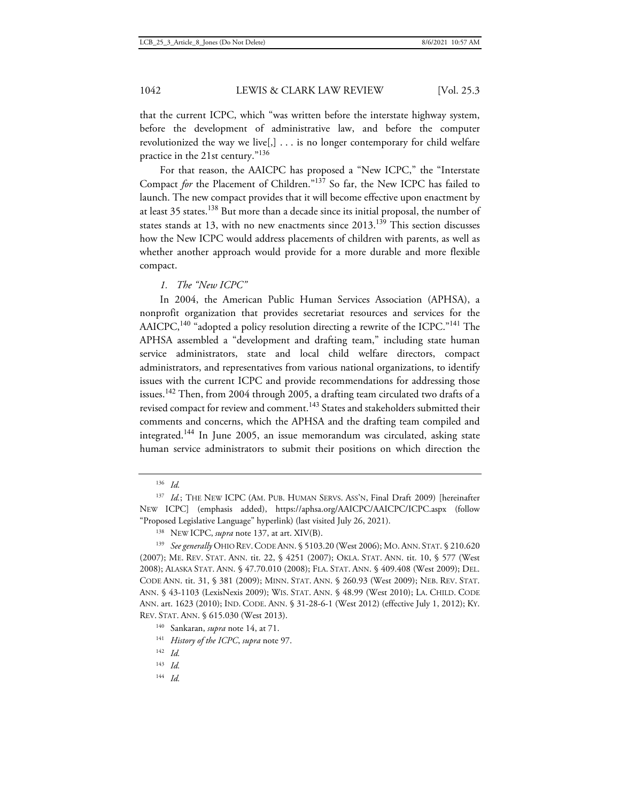that the current ICPC, which "was written before the interstate highway system, before the development of administrative law, and before the computer revolutionized the way we live[,] . . . is no longer contemporary for child welfare practice in the 21st century."<sup>136</sup>

For that reason, the AAICPC has proposed a "New ICPC," the "Interstate Compact *for* the Placement of Children."<sup>137</sup> So far, the New ICPC has failed to launch. The new compact provides that it will become effective upon enactment by at least 35 states.<sup>138</sup> But more than a decade since its initial proposal, the number of states stands at 13, with no new enactments since 2013.<sup>139</sup> This section discusses how the New ICPC would address placements of children with parents, as well as whether another approach would provide for a more durable and more flexible compact.

*1. The "New ICPC"* 

In 2004, the American Public Human Services Association (APHSA), a nonprofit organization that provides secretariat resources and services for the AAICPC,<sup>140</sup> "adopted a policy resolution directing a rewrite of the ICPC."<sup>141</sup> The APHSA assembled a "development and drafting team," including state human service administrators, state and local child welfare directors, compact administrators, and representatives from various national organizations, to identify issues with the current ICPC and provide recommendations for addressing those issues.<sup>142</sup> Then, from 2004 through 2005, a drafting team circulated two drafts of a revised compact for review and comment.<sup>143</sup> States and stakeholders submitted their comments and concerns, which the APHSA and the drafting team compiled and integrated.<sup>144</sup> In June 2005, an issue memorandum was circulated, asking state human service administrators to submit their positions on which direction the

- <sup>143</sup> *Id.*
- <sup>144</sup> *Id.*

<sup>136</sup> *Id.*

<sup>137</sup> *Id.*; THE NEW ICPC (AM. PUB. HUMAN SERVS. ASS'N, Final Draft 2009) [hereinafter NEW ICPC] (emphasis added), https://aphsa.org/AAICPC/AAICPC/ICPC.aspx (follow "Proposed Legislative Language" hyperlink) (last visited July 26, 2021).

<sup>138</sup> NEW ICPC, *supra* note 137, at art. XIV(B).

<sup>139</sup> *See generally* OHIO REV.CODE ANN. § 5103.20 (West 2006); MO.ANN. STAT. § 210.620 (2007); ME. REV. STAT. ANN. tit. 22, § 4251 (2007); OKLA. STAT. ANN. tit. 10, § 577 (West 2008); ALASKA STAT. ANN. § 47.70.010 (2008); FLA. STAT. ANN. § 409.408 (West 2009); DEL. CODE ANN. tit. 31, § 381 (2009); MINN. STAT. ANN. § 260.93 (West 2009); NEB. REV. STAT. ANN. § 43-1103 (LexisNexis 2009); WIS. STAT. ANN. § 48.99 (West 2010); LA. CHILD. CODE ANN. art. 1623 (2010); IND. CODE. ANN. § 31-28-6-1 (West 2012) (effective July 1, 2012); KY. REV. STAT. ANN. § 615.030 (West 2013).

<sup>140</sup> Sankaran, *supra* note 14, at 71.

<sup>141</sup> *History of the ICPC*, *supra* note 97.

<sup>142</sup> *Id.*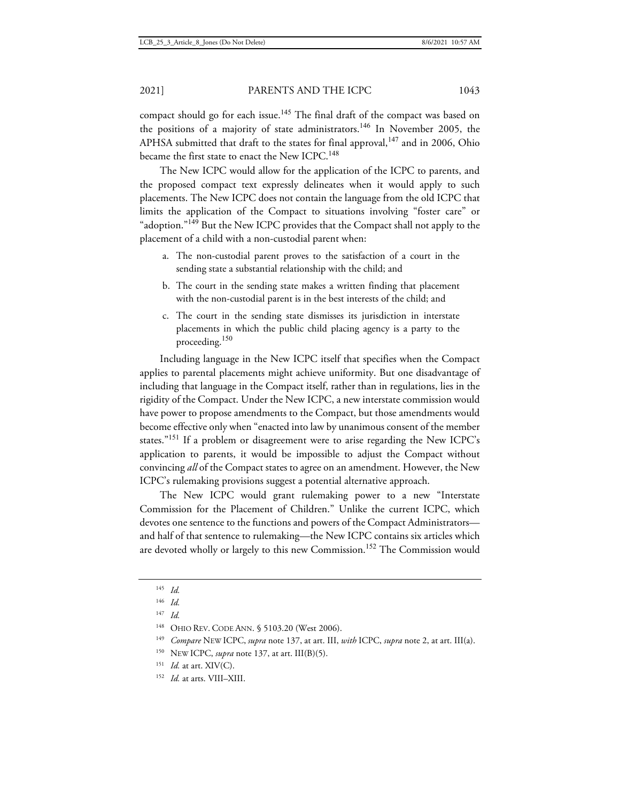compact should go for each issue.<sup>145</sup> The final draft of the compact was based on the positions of a majority of state administrators.<sup>146</sup> In November 2005, the APHSA submitted that draft to the states for final approval,  $147$  and in 2006, Ohio became the first state to enact the New ICPC.<sup>148</sup>

The New ICPC would allow for the application of the ICPC to parents, and the proposed compact text expressly delineates when it would apply to such placements. The New ICPC does not contain the language from the old ICPC that limits the application of the Compact to situations involving "foster care" or "adoption."<sup>149</sup> But the New ICPC provides that the Compact shall not apply to the placement of a child with a non-custodial parent when:

- a. The non-custodial parent proves to the satisfaction of a court in the sending state a substantial relationship with the child; and
- b. The court in the sending state makes a written finding that placement with the non-custodial parent is in the best interests of the child; and
- c. The court in the sending state dismisses its jurisdiction in interstate placements in which the public child placing agency is a party to the proceeding.<sup>150</sup>

Including language in the New ICPC itself that specifies when the Compact applies to parental placements might achieve uniformity. But one disadvantage of including that language in the Compact itself, rather than in regulations, lies in the rigidity of the Compact. Under the New ICPC, a new interstate commission would have power to propose amendments to the Compact, but those amendments would become effective only when "enacted into law by unanimous consent of the member states."<sup>151</sup> If a problem or disagreement were to arise regarding the New ICPC's application to parents, it would be impossible to adjust the Compact without convincing *all* of the Compact states to agree on an amendment. However, the New ICPC's rulemaking provisions suggest a potential alternative approach.

The New ICPC would grant rulemaking power to a new "Interstate Commission for the Placement of Children." Unlike the current ICPC, which devotes one sentence to the functions and powers of the Compact Administrators and half of that sentence to rulemaking—the New ICPC contains six articles which are devoted wholly or largely to this new Commission.<sup>152</sup> The Commission would

- <sup>150</sup> NEW ICPC, *supra* note 137, at art. III(B)(5).
- <sup>151</sup> *Id.* at art. XIV(C).
- <sup>152</sup> *Id.* at arts. VIII–XIII.

<sup>145</sup> *Id.*

<sup>146</sup> *Id.*

<sup>147</sup> *Id.*

<sup>&</sup>lt;sup>148</sup> OHIO REV. CODE ANN. § 5103.20 (West 2006).

<sup>149</sup> *Compare* NEW ICPC, *supra* note 137, at art. III, *with* ICPC, *supra* note 2, at art. III(a).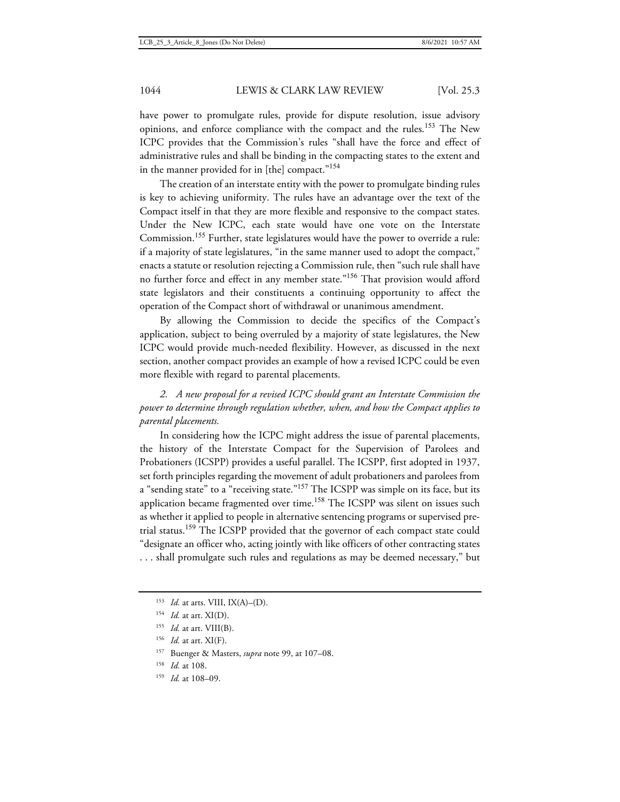have power to promulgate rules, provide for dispute resolution, issue advisory opinions, and enforce compliance with the compact and the rules.<sup>153</sup> The New ICPC provides that the Commission's rules "shall have the force and effect of administrative rules and shall be binding in the compacting states to the extent and in the manner provided for in [the] compact."<sup>154</sup>

The creation of an interstate entity with the power to promulgate binding rules is key to achieving uniformity. The rules have an advantage over the text of the Compact itself in that they are more flexible and responsive to the compact states. Under the New ICPC, each state would have one vote on the Interstate Commission.<sup>155</sup> Further, state legislatures would have the power to override a rule: if a majority of state legislatures, "in the same manner used to adopt the compact," enacts a statute or resolution rejecting a Commission rule, then "such rule shall have no further force and effect in any member state."<sup>156</sup> That provision would afford state legislators and their constituents a continuing opportunity to affect the operation of the Compact short of withdrawal or unanimous amendment.

By allowing the Commission to decide the specifics of the Compact's application, subject to being overruled by a majority of state legislatures, the New ICPC would provide much-needed flexibility. However, as discussed in the next section, another compact provides an example of how a revised ICPC could be even more flexible with regard to parental placements.

*2. A new proposal for a revised ICPC should grant an Interstate Commission the power to determine through regulation whether, when, and how the Compact applies to parental placements.* 

In considering how the ICPC might address the issue of parental placements, the history of the Interstate Compact for the Supervision of Parolees and Probationers (ICSPP) provides a useful parallel. The ICSPP, first adopted in 1937, set forth principles regarding the movement of adult probationers and parolees from a "sending state" to a "receiving state."<sup>157</sup> The ICSPP was simple on its face, but its application became fragmented over time.<sup>158</sup> The ICSPP was silent on issues such as whether it applied to people in alternative sentencing programs or supervised pretrial status.<sup>159</sup> The ICSPP provided that the governor of each compact state could "designate an officer who, acting jointly with like officers of other contracting states . . . shall promulgate such rules and regulations as may be deemed necessary," but

- <sup>156</sup> *Id.* at art. XI(F).
- <sup>157</sup> Buenger & Masters, *supra* note 99, at 107–08.
- <sup>158</sup> *Id.* at 108.
- <sup>159</sup> *Id.* at 108–09.

<sup>153</sup> *Id.* at arts. VIII, IX(A)–(D).

<sup>154</sup> *Id.* at art. XI(D).

<sup>155</sup> *Id.* at art. VIII(B).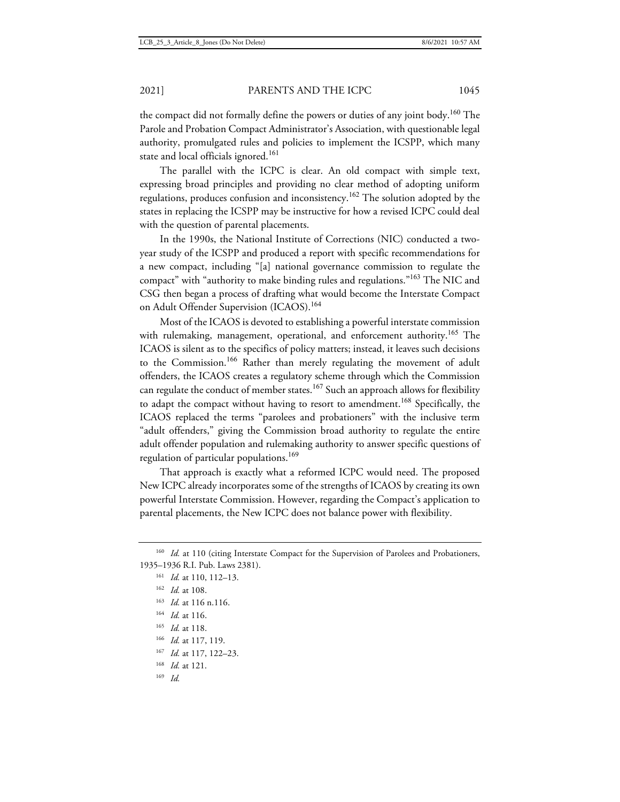the compact did not formally define the powers or duties of any joint body.<sup>160</sup> The Parole and Probation Compact Administrator's Association, with questionable legal authority, promulgated rules and policies to implement the ICSPP, which many state and local officials ignored.<sup>161</sup>

The parallel with the ICPC is clear. An old compact with simple text, expressing broad principles and providing no clear method of adopting uniform regulations, produces confusion and inconsistency.<sup>162</sup> The solution adopted by the states in replacing the ICSPP may be instructive for how a revised ICPC could deal with the question of parental placements.

In the 1990s, the National Institute of Corrections (NIC) conducted a twoyear study of the ICSPP and produced a report with specific recommendations for a new compact, including "[a] national governance commission to regulate the compact" with "authority to make binding rules and regulations."<sup>163</sup> The NIC and CSG then began a process of drafting what would become the Interstate Compact on Adult Offender Supervision (ICAOS).<sup>164</sup>

Most of the ICAOS is devoted to establishing a powerful interstate commission with rulemaking, management, operational, and enforcement authority.<sup>165</sup> The ICAOS is silent as to the specifics of policy matters; instead, it leaves such decisions to the Commission.<sup>166</sup> Rather than merely regulating the movement of adult offenders, the ICAOS creates a regulatory scheme through which the Commission can regulate the conduct of member states.<sup>167</sup> Such an approach allows for flexibility to adapt the compact without having to resort to amendment.<sup>168</sup> Specifically, the ICAOS replaced the terms "parolees and probationers" with the inclusive term "adult offenders," giving the Commission broad authority to regulate the entire adult offender population and rulemaking authority to answer specific questions of regulation of particular populations.<sup>169</sup>

That approach is exactly what a reformed ICPC would need. The proposed New ICPC already incorporates some of the strengths of ICAOS by creating its own powerful Interstate Commission. However, regarding the Compact's application to parental placements, the New ICPC does not balance power with flexibility.

- <sup>164</sup> *Id.* at 116.
- <sup>165</sup> *Id.* at 118.
- <sup>166</sup> *Id.* at 117, 119.
- <sup>167</sup> *Id.* at 117, 122–23.
- <sup>168</sup> *Id.* at 121.
- <sup>169</sup> *Id.*

<sup>&</sup>lt;sup>160</sup> *Id.* at 110 (citing Interstate Compact for the Supervision of Parolees and Probationers, 1935–1936 R.I. Pub. Laws 2381).

<sup>161</sup> *Id.* at 110, 112–13.

<sup>162</sup> *Id.* at 108.

<sup>163</sup> *Id.* at 116 n.116.